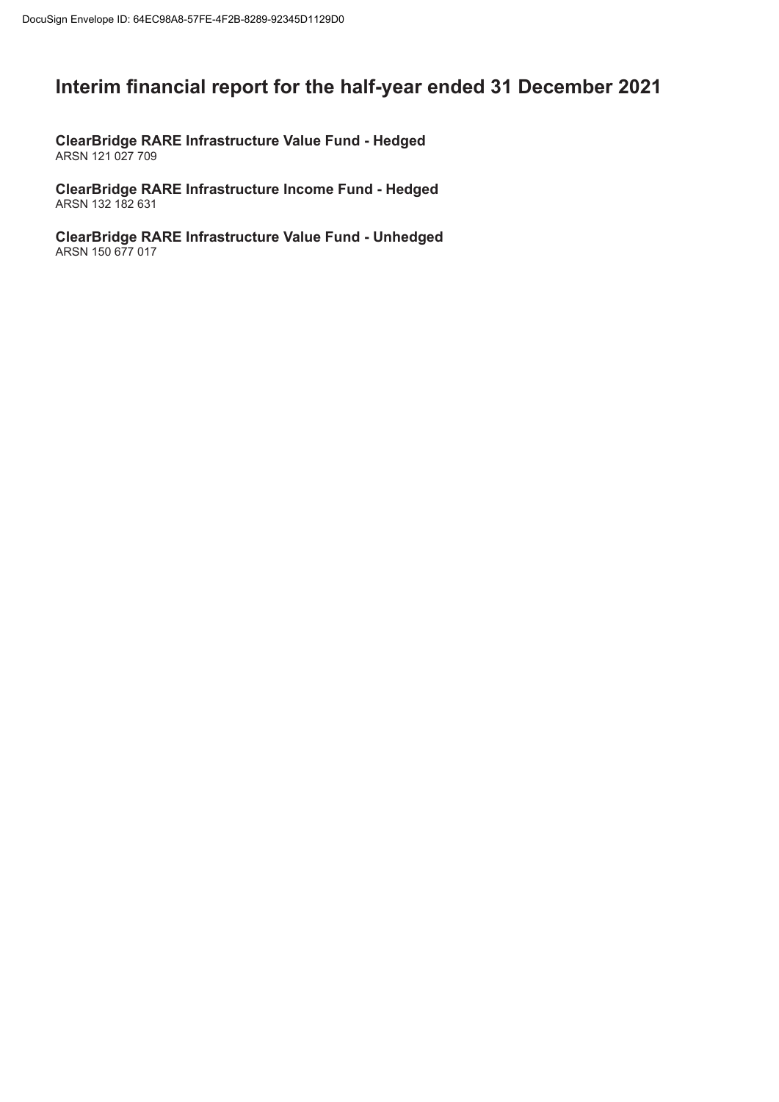# **Interim financial report for the half-year ended 31 December 2021**

**ClearBridge RARE Infrastructure Value Fund - Hedged** ARSN 121 027 709

**ClearBridge RARE Infrastructure Income Fund - Hedged** ARSN 132 182 631

**ClearBridge RARE Infrastructure Value Fund - Unhedged** ARSN 150 677 017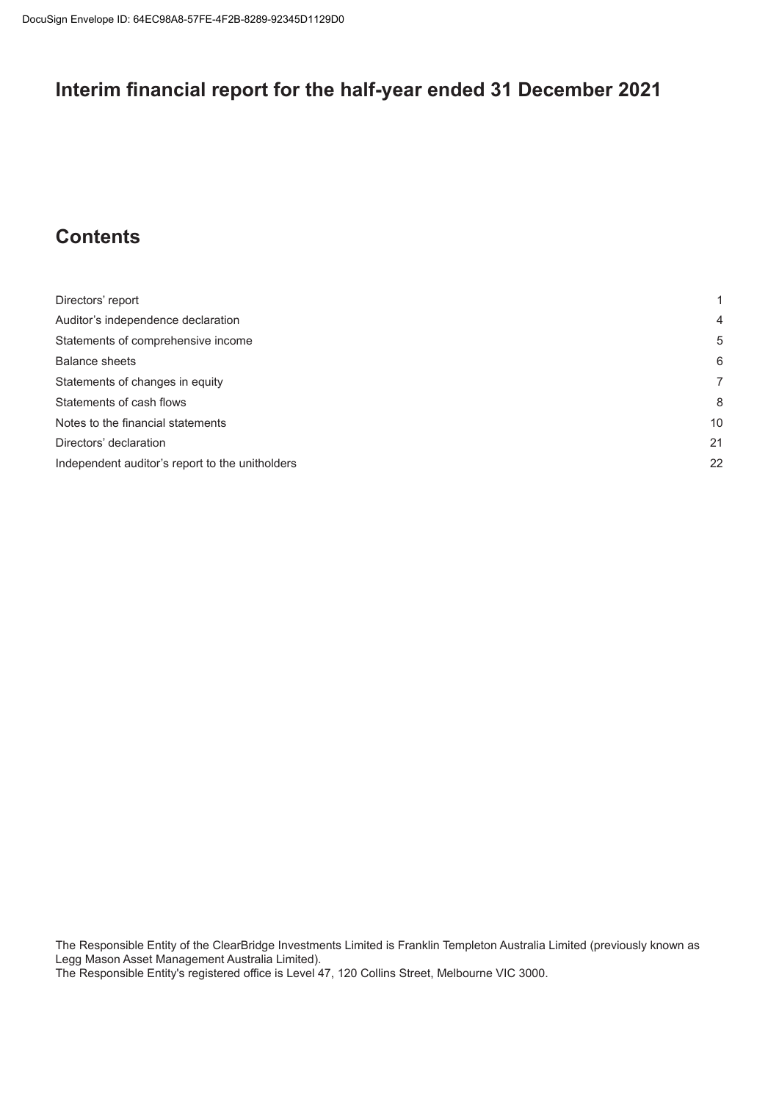# **Interim financial report for the half-year ended 31 December 2021**

# **Contents**

| Directors' report                               |    |
|-------------------------------------------------|----|
| Auditor's independence declaration              | 4  |
| Statements of comprehensive income              | 5  |
| <b>Balance sheets</b>                           | 6  |
| Statements of changes in equity                 |    |
| Statements of cash flows                        | 8  |
| Notes to the financial statements               | 10 |
| Directors' declaration                          | 21 |
| Independent auditor's report to the unitholders | 22 |

The Responsible Entity of the ClearBridge Investments Limited is Franklin Templeton Australia Limited (previously known as Legg Mason Asset Management Australia Limited).

The Responsible Entity's registered office is Level 47, 120 Collins Street, Melbourne VIC 3000.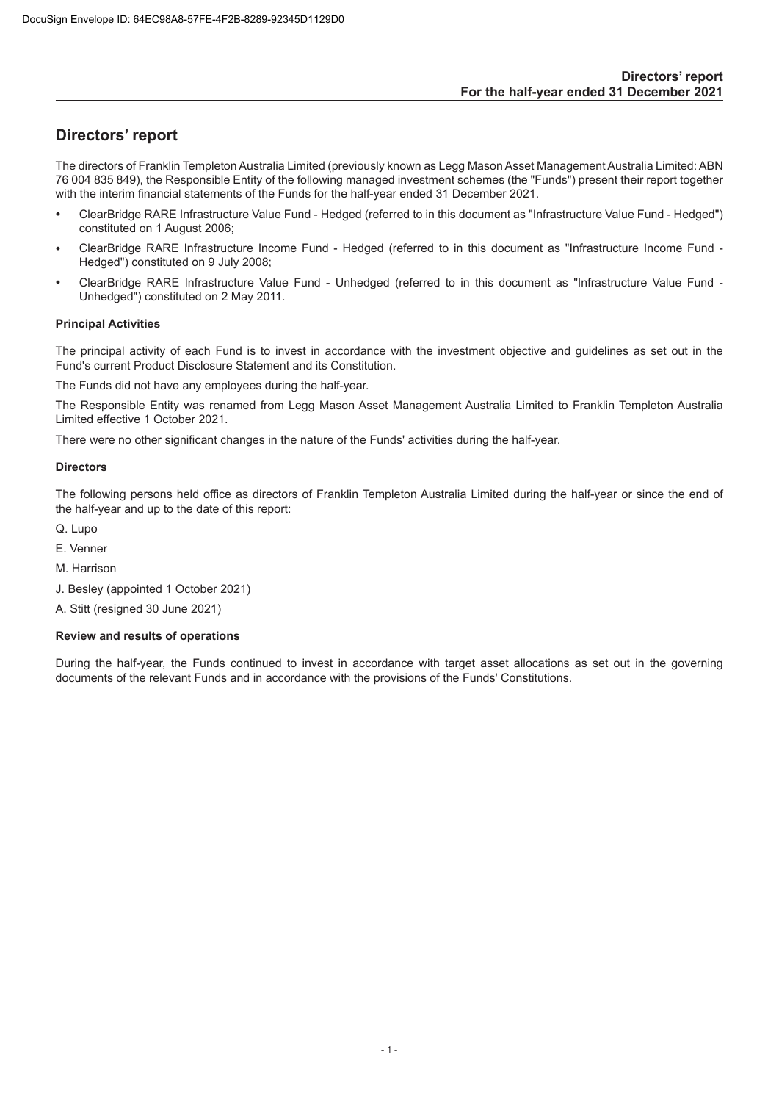# <span id="page-2-0"></span>**Directors' report**

The directors of Franklin Templeton Australia Limited (previously known as Legg Mason Asset Management Australia Limited: ABN 76 004 835 849), the Responsible Entity of the following managed investment schemes (the "Funds") present their report together with the interim financial statements of the Funds for the half-year ended 31 December 2021.

- ClearBridge RARE Infrastructure Value Fund Hedged (referred to in this document as "Infrastructure Value Fund Hedged") constituted on 1 August 2006;
- ClearBridge RARE Infrastructure Income Fund Hedged (referred to in this document as "Infrastructure Income Fund Hedged") constituted on 9 July 2008;
- ClearBridge RARE Infrastructure Value Fund Unhedged (referred to in this document as "Infrastructure Value Fund Unhedged") constituted on 2 May 2011.

## **Principal Activities**

The principal activity of each Fund is to invest in accordance with the investment objective and guidelines as set out in the Fund's current Product Disclosure Statement and its Constitution.

The Funds did not have any employees during the half-year.

The Responsible Entity was renamed from Legg Mason Asset Management Australia Limited to Franklin Templeton Australia Limited effective 1 October 2021.

There were no other significant changes in the nature of the Funds' activities during the half-year.

## **Directors**

The following persons held office as directors of Franklin Templeton Australia Limited during the half-year or since the end of the half-year and up to the date of this report:

- Q. Lupo
- E. Venner
- M. Harrison
- J. Besley (appointed 1 October 2021)

A. Stitt (resigned 30 June 2021)

## **Review and results of operations**

During the half-year, the Funds continued to invest in accordance with target asset allocations as set out in the governing documents of the relevant Funds and in accordance with the provisions of the Funds' Constitutions.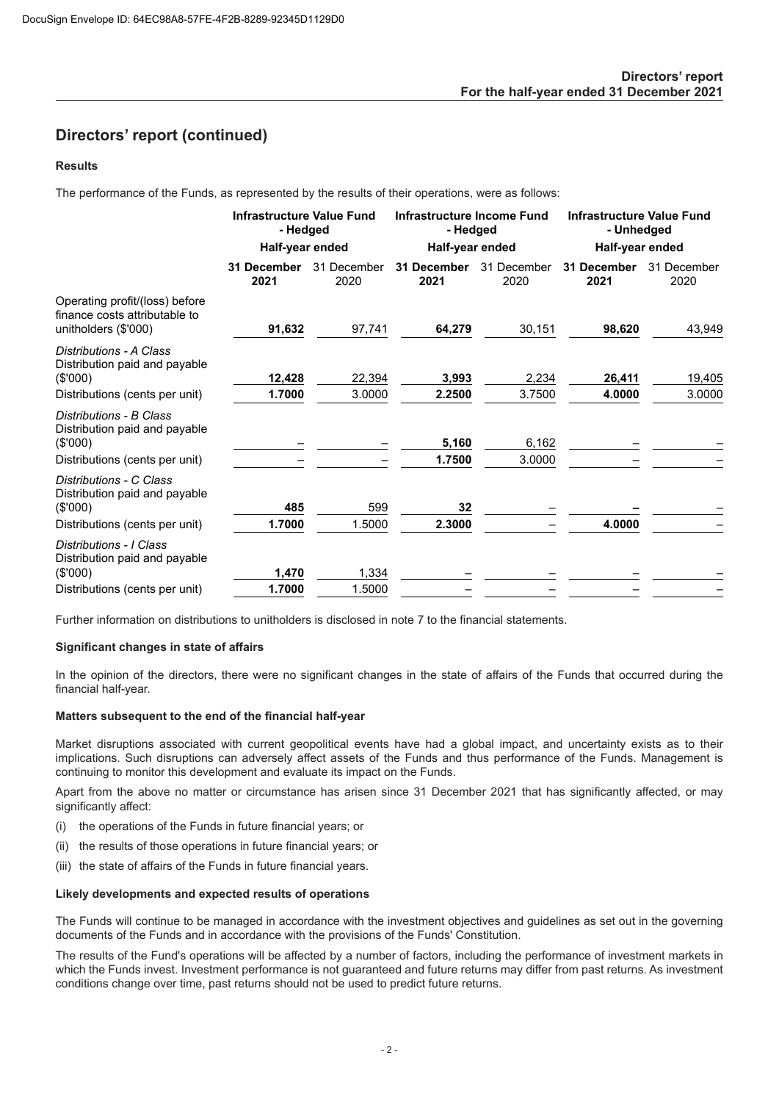## **Directors' report (continued)**

## **Results**

The performance of the Funds, as represented by the results of their operations, were as follows:

|                                                                                         | <b>Infrastructure Value Fund</b><br>- Hedged |                     | Infrastructure Income Fund<br>- Hedged |                     | <b>Infrastructure Value Fund</b><br>- Unhedged |                     |
|-----------------------------------------------------------------------------------------|----------------------------------------------|---------------------|----------------------------------------|---------------------|------------------------------------------------|---------------------|
|                                                                                         | Half-year ended                              |                     | Half-year ended                        |                     | Half-year ended                                |                     |
|                                                                                         | 31 December<br>2021                          | 31 December<br>2020 | 31 December<br>2021                    | 31 December<br>2020 | 31 December<br>2021                            | 31 December<br>2020 |
| Operating profit/(loss) before<br>finance costs attributable to<br>unitholders (\$'000) | 91,632                                       | 97,741              | 64,279                                 | 30,151              | 98,620                                         | 43,949              |
| Distributions - A Class<br>Distribution paid and payable<br>$(\$'000)$                  | 12,428                                       | 22,394              | 3,993                                  | 2,234               | 26,411                                         | 19,405              |
| Distributions (cents per unit)                                                          | 1.7000                                       | 3.0000              | 2.2500                                 | 3.7500              | 4.0000                                         | 3.0000              |
| Distributions - B Class<br>Distribution paid and payable<br>$(\$'000)$                  |                                              |                     | 5,160<br>1.7500                        | 6,162<br>3.0000     |                                                |                     |
| Distributions (cents per unit)                                                          |                                              |                     |                                        |                     |                                                |                     |
| Distributions - C Class<br>Distribution paid and payable<br>$(\$'000)$                  | 485                                          | 599                 | 32                                     |                     |                                                |                     |
| Distributions (cents per unit)                                                          | 1.7000                                       | 1.5000              | 2.3000                                 |                     | 4.0000                                         |                     |
| Distributions - I Class<br>Distribution paid and payable<br>$(\$'000)$                  | 1,470                                        | 1,334               |                                        |                     |                                                |                     |
| Distributions (cents per unit)                                                          | 1.7000                                       | 1.5000              |                                        |                     |                                                |                     |

Further information on distributions to unitholders is disclosed in note 7 to the financial statements.

#### **Significant changes in state of affairs**

In the opinion of the directors, there were no significant changes in the state of affairs of the Funds that occurred during the financial half-year.

#### **Matters subsequent to the end of the financial half-year**

Market disruptions associated with current geopolitical events have had a global impact, and uncertainty exists as to their implications. Such disruptions can adversely affect assets of the Funds and thus performance of the Funds. Management is continuing to monitor this development and evaluate its impact on the Funds.

Apart from the above no matter or circumstance has arisen since 31 December 2021 that has significantly affected, or may significantly affect:

- (i) the operations of the Funds in future financial years; or
- (ii) the results of those operations in future financial years; or
- (iii) the state of affairs of the Funds in future financial years.

## **Likely developments and expected results of operations**

The Funds will continue to be managed in accordance with the investment objectives and guidelines as set out in the governing documents of the Funds and in accordance with the provisions of the Funds' Constitution.

The results of the Fund's operations will be affected by a number of factors, including the performance of investment markets in which the Funds invest. Investment performance is not guaranteed and future returns may differ from past returns. As investment conditions change over time, past returns should not be used to predict future returns.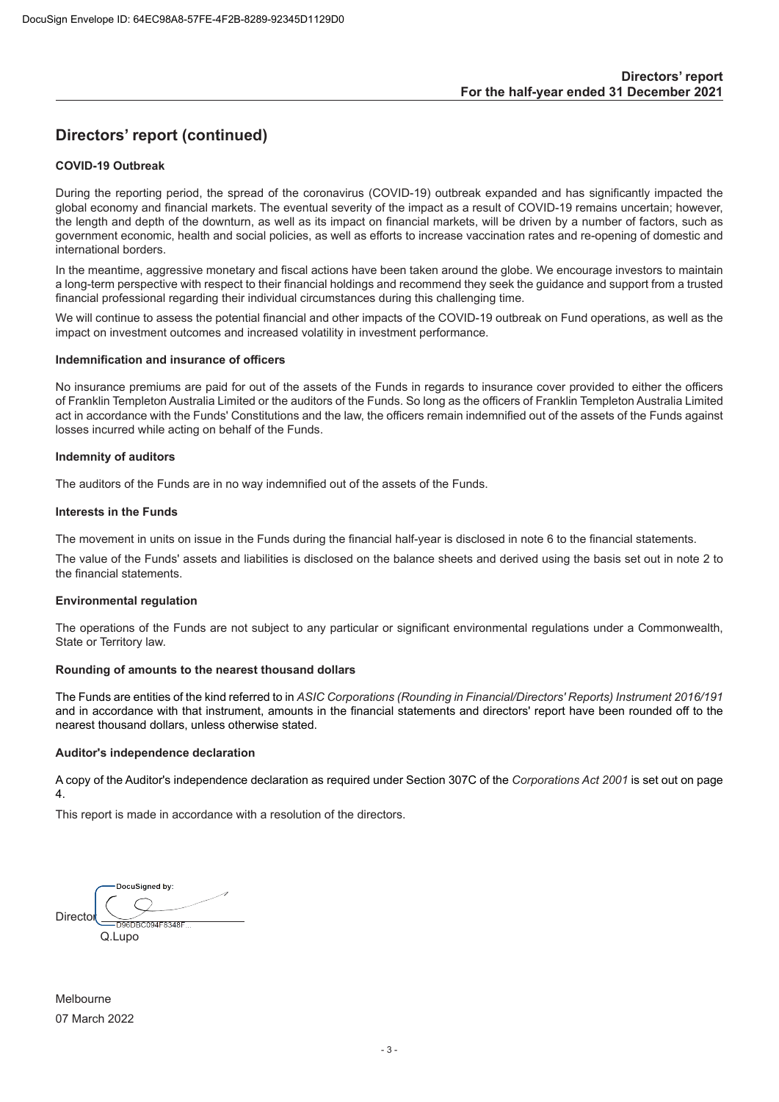# **Directors' report (continued)**

#### **COVID-19 Outbreak**

During the reporting period, the spread of the coronavirus (COVID-19) outbreak expanded and has significantly impacted the global economy and financial markets. The eventual severity of the impact as a result of COVID-19 remains uncertain; however, the length and depth of the downturn, as well as its impact on financial markets, will be driven by a number of factors, such as government economic, health and social policies, as well as efforts to increase vaccination rates and re-opening of domestic and international borders.

In the meantime, aggressive monetary and fiscal actions have been taken around the globe. We encourage investors to maintain a long-term perspective with respect to their financial holdings and recommend they seek the guidance and support from a trusted financial professional regarding their individual circumstances during this challenging time.

We will continue to assess the potential financial and other impacts of the COVID-19 outbreak on Fund operations, as well as the impact on investment outcomes and increased volatility in investment performance.

#### **Indemnification and insurance of officers**

No insurance premiums are paid for out of the assets of the Funds in regards to insurance cover provided to either the officers of Franklin Templeton Australia Limited or the auditors of the Funds. So long as the officers of Franklin Templeton Australia Limited act in accordance with the Funds' Constitutions and the law, the officers remain indemnified out of the assets of the Funds against losses incurred while acting on behalf of the Funds.

#### **Indemnity of auditors**

The auditors of the Funds are in no way indemnified out of the assets of the Funds.

#### **Interests in the Funds**

The movement in units on issue in the Funds during the financial half-year is disclosed in note 6 to the financial statements.

The value of the Funds' assets and liabilities is disclosed on the balance sheets and derived using the basis set out in note 2 to the financial statements.

#### **Environmental regulation**

The operations of the Funds are not subject to any particular or significant environmental regulations under a Commonwealth, State or Territory law.

#### **Rounding of amounts to the nearest thousand dollars**

The Funds are entities of the kind referred to in *ASIC Corporations (Rounding in Financial/Directors' Reports) Instrument 2016/191*  and in accordance with that instrument, amounts in the financial statements and directors' report have been rounded off to the nearest thousand dollars, unless otherwise stated.

#### **Auditor's independence declaration**

A copy of the Auditor's independence declaration as required under Section 307C of the *Corporations Act 2001* is set out on page 4.

This report is made in accordance with a resolution of the directors.

DocuSigned by: Director D96DBC094F8348F Q.Lupo

Melbourne 07 March 2022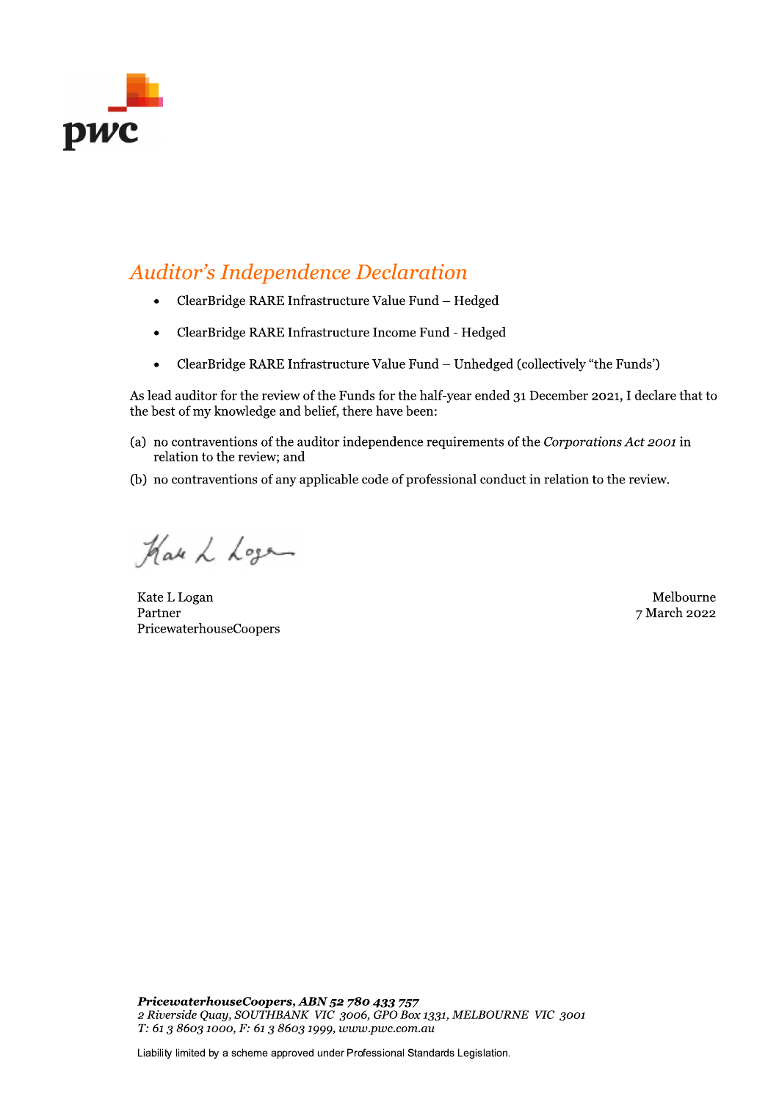

# Auditor's Independence Declaration

- ClearBridge RARE Infrastructure Value Fund Hedged
- ClearBridge RARE Infrastructure Income Fund Hedged
- ClearBridge RARE Infrastructure Value Fund Unhedged (collectively "the Funds')

As lead auditor for the review of the Funds for the half-year ended 31 December 2021, I declare that to the best of my knowledge and belief, there have been:

- (a) no contraventions of the auditor independence requirements of the Corporations Act 2001 in relation to the review; and
- (b) no contraventions of any applicable code of professional conduct in relation to the review.

Har L Logan

kate L Logan and Shanga and Shanga and Shanga and Shanga and Shanga and Shanga and Shanga and Shanga and Shanga Partner PricewaterhouseCoopers

7 March 2022

 $\mathbb{R}^2$ PricewaternouseCoopers, ABN 52 780 433 757 PricewaterhouseCoopers, ABN 52 780 433 757<br>
2 Riverside Quay, SOUTHBANK VIC 3006, GPO Box 1331, MELBOURNE VIC 3001<br>
T: 61 3 8603 1000, F: 61 3 8603 1999, www.pwc.com.au<br>
Liability limited by a scheme approved under Profess FricewaterhouseCoopers, ABN 52 780 433 757<br>2 Riverside Quay, SOUTHBANK VIC 3006, GPO Box 1331,<br>T: 61 3 8603 1000, F: 61 3 8603 1999, www.pwc.com.au<br>Liability limited by a scheme approved under Professional Standard

Liability limited by a scheme approved under Professional Standards Legislation.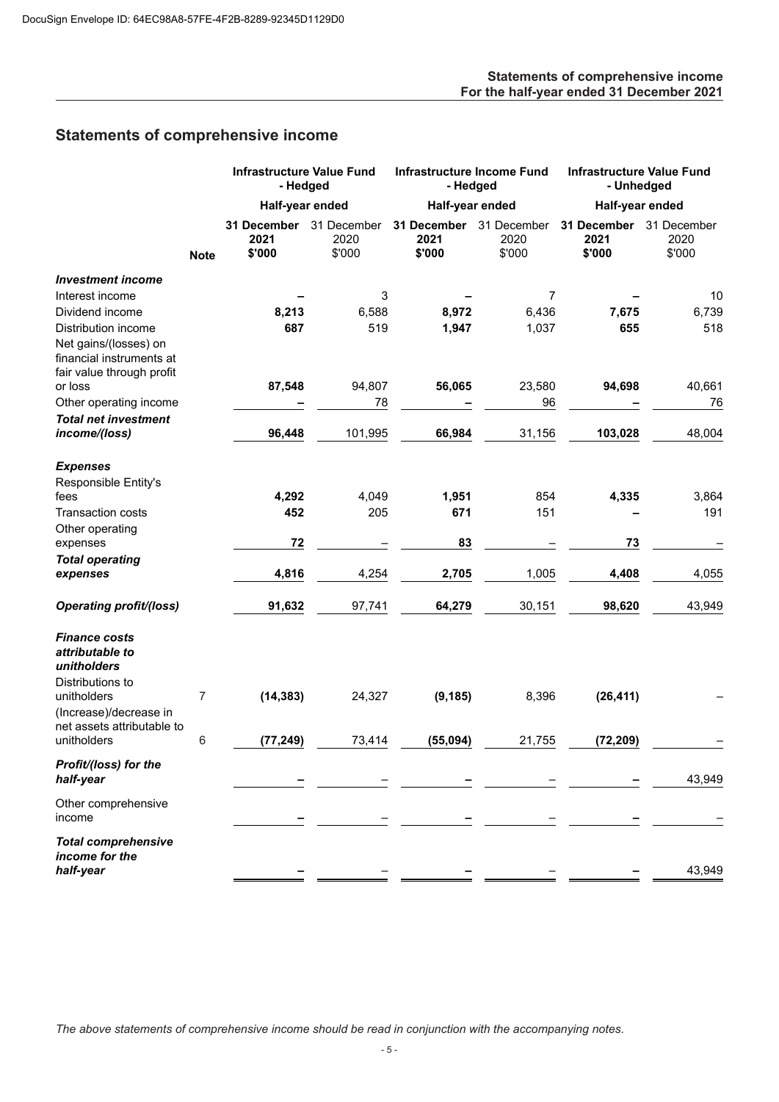## **Statements of comprehensive income For the half-year ended 31 December 2021**

# <span id="page-6-0"></span>**Statements of comprehensive income**

|                                                                                |             | <b>Infrastructure Value Fund</b><br>- Hedged |                               | <b>Infrastructure Income Fund</b><br>- Hedged |                               | <b>Infrastructure Value Fund</b><br>- Unhedged |                               |
|--------------------------------------------------------------------------------|-------------|----------------------------------------------|-------------------------------|-----------------------------------------------|-------------------------------|------------------------------------------------|-------------------------------|
|                                                                                |             | Half-year ended                              |                               | Half-year ended                               |                               | Half-year ended                                |                               |
|                                                                                | <b>Note</b> | <b>31 December</b><br>2021<br>\$'000         | 31 December<br>2020<br>\$'000 | 31 December<br>2021<br>\$'000                 | 31 December<br>2020<br>\$'000 | 31 December<br>2021<br>\$'000                  | 31 December<br>2020<br>\$'000 |
| <b>Investment income</b>                                                       |             |                                              |                               |                                               |                               |                                                |                               |
| Interest income                                                                |             |                                              | 3                             |                                               | 7                             |                                                | 10                            |
| Dividend income                                                                |             | 8,213                                        | 6,588                         | 8,972                                         | 6,436                         | 7,675                                          | 6,739                         |
| Distribution income                                                            |             | 687                                          | 519                           | 1,947                                         | 1,037                         | 655                                            | 518                           |
| Net gains/(losses) on<br>financial instruments at<br>fair value through profit |             |                                              |                               |                                               |                               |                                                |                               |
| or loss                                                                        |             | 87,548                                       | 94,807                        | 56,065                                        | 23,580                        | 94,698                                         | 40,661                        |
| Other operating income                                                         |             |                                              | 78                            |                                               | 96                            |                                                | 76                            |
| <b>Total net investment</b><br>income/(loss)                                   |             | 96,448                                       | 101,995                       | 66,984                                        | 31,156                        | 103,028                                        | 48,004                        |
| <b>Expenses</b>                                                                |             |                                              |                               |                                               |                               |                                                |                               |
| Responsible Entity's                                                           |             |                                              |                               |                                               |                               |                                                |                               |
| fees                                                                           |             | 4,292                                        | 4,049                         | 1,951                                         | 854                           | 4,335                                          | 3,864                         |
| <b>Transaction costs</b>                                                       |             | 452                                          | 205                           | 671                                           | 151                           |                                                | 191                           |
| Other operating                                                                |             |                                              |                               |                                               |                               |                                                |                               |
| expenses                                                                       |             | 72                                           |                               | 83                                            |                               | 73                                             |                               |
| <b>Total operating</b>                                                         |             |                                              |                               |                                               |                               |                                                |                               |
| expenses                                                                       |             | 4,816                                        | 4,254                         | 2,705                                         | 1,005                         | 4,408                                          | 4,055                         |
| <b>Operating profit/(loss)</b>                                                 |             | 91,632                                       | 97,741                        | 64,279                                        | 30,151                        | 98,620                                         | 43,949                        |
| <b>Finance costs</b><br>attributable to<br>unitholders<br>Distributions to     |             |                                              |                               |                                               |                               |                                                |                               |
| unitholders<br>(Increase)/decrease in<br>net assets attributable to            | 7           | (14, 383)                                    | 24,327                        | (9, 185)                                      | 8,396                         | (26, 411)                                      |                               |
| unitholders                                                                    | 6           | (77, 249)                                    | 73,414                        | (55,094)                                      | 21,755                        | (72, 209)                                      |                               |
| Profit/(loss) for the<br>half-year                                             |             |                                              |                               |                                               |                               |                                                | 43,949                        |
| Other comprehensive                                                            |             |                                              |                               |                                               |                               |                                                |                               |
| income                                                                         |             |                                              |                               |                                               |                               |                                                |                               |
| <b>Total comprehensive</b><br>income for the<br>half-year                      |             |                                              |                               |                                               |                               |                                                | 43,949                        |

*The above statements of comprehensive income should be read in conjunction with the accompanying notes.*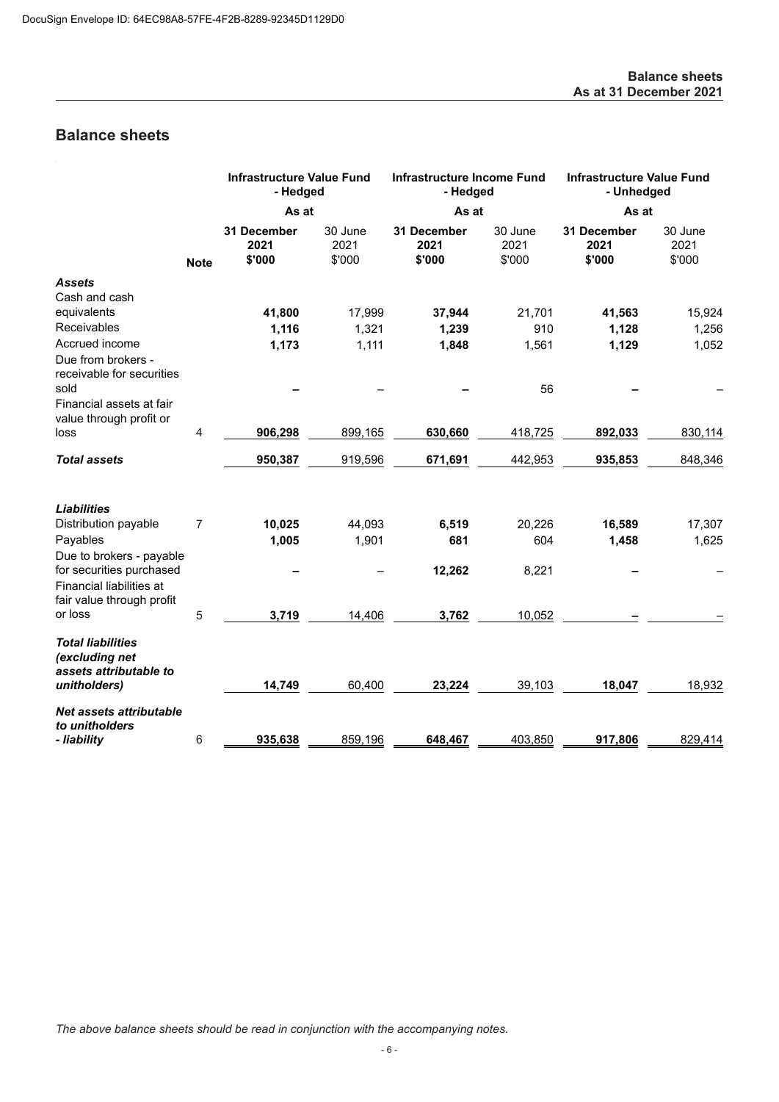# <span id="page-7-0"></span>**Balance sheets**

|                                                                                   |                | <b>Infrastructure Value Fund</b><br>- Hedged |                           | <b>Infrastructure Income Fund</b><br>- Hedged |                           | <b>Infrastructure Value Fund</b><br>- Unhedged |                           |
|-----------------------------------------------------------------------------------|----------------|----------------------------------------------|---------------------------|-----------------------------------------------|---------------------------|------------------------------------------------|---------------------------|
|                                                                                   |                | As at                                        |                           | As at                                         |                           | As at                                          |                           |
|                                                                                   | <b>Note</b>    | 31 December<br>2021<br>\$'000                | 30 June<br>2021<br>\$'000 | 31 December<br>2021<br>\$'000                 | 30 June<br>2021<br>\$'000 | 31 December<br>2021<br>\$'000                  | 30 June<br>2021<br>\$'000 |
| <b>Assets</b>                                                                     |                |                                              |                           |                                               |                           |                                                |                           |
| Cash and cash                                                                     |                |                                              |                           |                                               |                           |                                                |                           |
| equivalents                                                                       |                | 41,800                                       | 17,999                    | 37,944                                        | 21,701                    | 41,563                                         | 15,924                    |
| Receivables                                                                       |                | 1,116                                        | 1,321                     | 1,239                                         | 910                       | 1,128                                          | 1,256                     |
| Accrued income                                                                    |                | 1,173                                        | 1,111                     | 1,848                                         | 1,561                     | 1,129                                          | 1,052                     |
| Due from brokers -<br>receivable for securities                                   |                |                                              |                           |                                               |                           |                                                |                           |
| sold                                                                              |                |                                              |                           |                                               | 56                        |                                                |                           |
| Financial assets at fair                                                          |                |                                              |                           |                                               |                           |                                                |                           |
| value through profit or                                                           | $\overline{4}$ |                                              |                           |                                               |                           |                                                |                           |
| loss                                                                              |                | 906,298                                      | 899,165                   | 630,660                                       | 418,725                   | 892,033                                        | 830,114                   |
| <b>Total assets</b>                                                               |                | 950,387                                      | 919,596                   | 671,691                                       | 442,953                   | 935,853                                        | 848,346                   |
| <b>Liabilities</b>                                                                |                |                                              |                           |                                               |                           |                                                |                           |
| Distribution payable                                                              | $\overline{7}$ | 10,025                                       | 44,093                    | 6,519                                         | 20,226                    | 16,589                                         | 17,307                    |
| Payables                                                                          |                | 1,005                                        | 1,901                     | 681                                           | 604                       | 1,458                                          | 1,625                     |
| Due to brokers - payable                                                          |                |                                              |                           |                                               |                           |                                                |                           |
| for securities purchased<br>Financial liabilities at<br>fair value through profit |                |                                              |                           | 12,262                                        | 8,221                     |                                                |                           |
| or loss                                                                           | 5              | 3,719                                        | 14,406                    | 3,762                                         | 10,052                    |                                                |                           |
| <b>Total liabilities</b><br>(excluding net<br>assets attributable to              |                |                                              |                           |                                               |                           |                                                |                           |
| unitholders)                                                                      |                | 14,749                                       | 60,400                    | 23,224                                        | 39,103                    | 18,047                                         | 18,932                    |
| Net assets attributable<br>to unitholders                                         |                |                                              |                           |                                               |                           |                                                |                           |
| - liability                                                                       | 6              | 935,638                                      | 859,196                   | 648,467                                       | 403,850                   | 917,806                                        | 829,414                   |

*The above balance sheets should be read in conjunction with the accompanying notes.*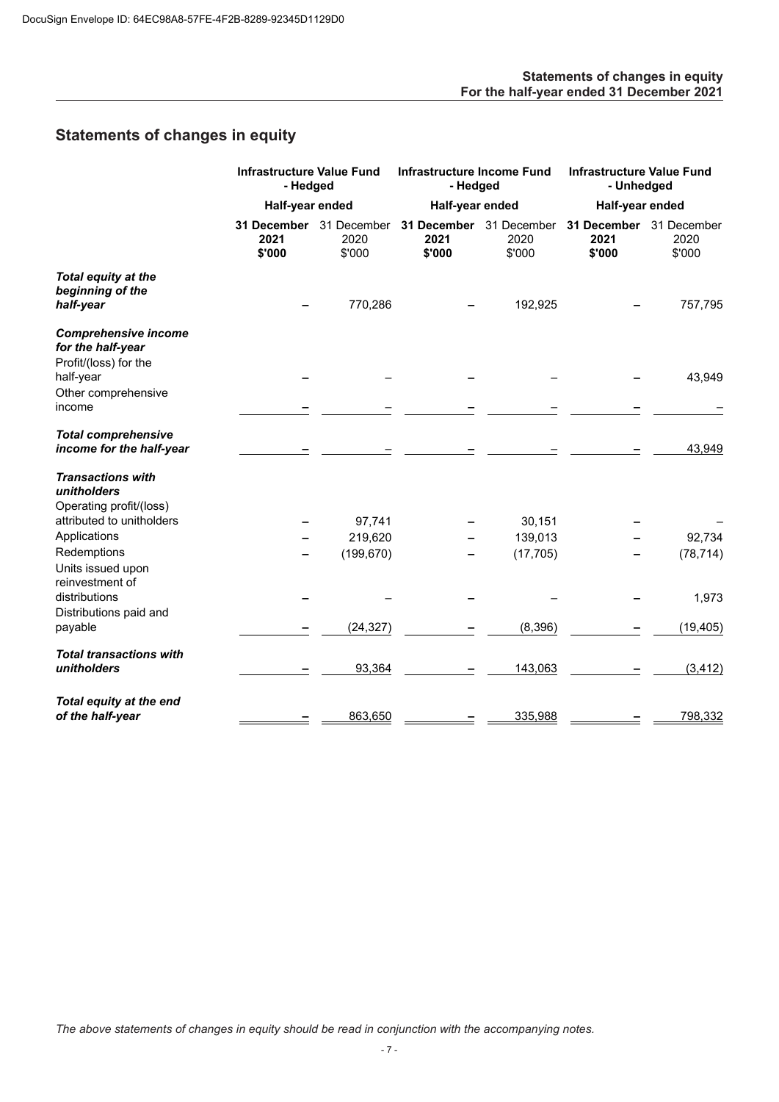## **Statements of changes in equity For the half-year ended 31 December 2021**

# <span id="page-8-0"></span>**Statements of changes in equity**

|                                                                           | <b>Infrastructure Value Fund</b><br>- Hedged |                               | <b>Infrastructure Income Fund</b><br>- Hedged |                                           | <b>Infrastructure Value Fund</b><br>- Unhedged |                               |
|---------------------------------------------------------------------------|----------------------------------------------|-------------------------------|-----------------------------------------------|-------------------------------------------|------------------------------------------------|-------------------------------|
|                                                                           | Half-year ended                              |                               | Half-year ended                               |                                           | Half-year ended                                |                               |
|                                                                           | 31 December<br>2021<br>\$'000                | 31 December<br>2020<br>\$'000 | 2021<br>\$'000                                | 31 December 31 December<br>2020<br>\$'000 | 31 December<br>2021<br>\$'000                  | 31 December<br>2020<br>\$'000 |
| Total equity at the<br>beginning of the<br>half-year                      |                                              | 770,286                       |                                               | 192,925                                   |                                                | 757,795                       |
| <b>Comprehensive income</b><br>for the half-year<br>Profit/(loss) for the |                                              |                               |                                               |                                           |                                                |                               |
| half-year<br>Other comprehensive                                          |                                              |                               |                                               |                                           |                                                | 43,949                        |
| income                                                                    |                                              |                               |                                               |                                           |                                                |                               |
| <b>Total comprehensive</b><br>income for the half-year                    |                                              |                               |                                               |                                           |                                                | 43,949                        |
| <b>Transactions with</b><br>unitholders                                   |                                              |                               |                                               |                                           |                                                |                               |
| Operating profit/(loss)<br>attributed to unitholders                      |                                              | 97,741                        |                                               | 30,151                                    |                                                |                               |
| Applications                                                              |                                              | 219,620                       |                                               | 139,013                                   |                                                | 92,734                        |
| Redemptions<br>Units issued upon<br>reinvestment of                       |                                              | (199, 670)                    |                                               | (17, 705)                                 |                                                | (78, 714)                     |
| distributions                                                             |                                              |                               |                                               |                                           |                                                | 1,973                         |
| Distributions paid and<br>payable                                         |                                              | (24, 327)                     |                                               | (8, 396)                                  |                                                | (19, 405)                     |
| <b>Total transactions with</b><br>unitholders                             |                                              | 93,364                        |                                               | 143,063                                   |                                                | (3, 412)                      |
| Total equity at the end<br>of the half-year                               |                                              | 863,650                       |                                               | 335,988                                   |                                                | 798,332                       |

*The above statements of changes in equity should be read in conjunction with the accompanying notes.*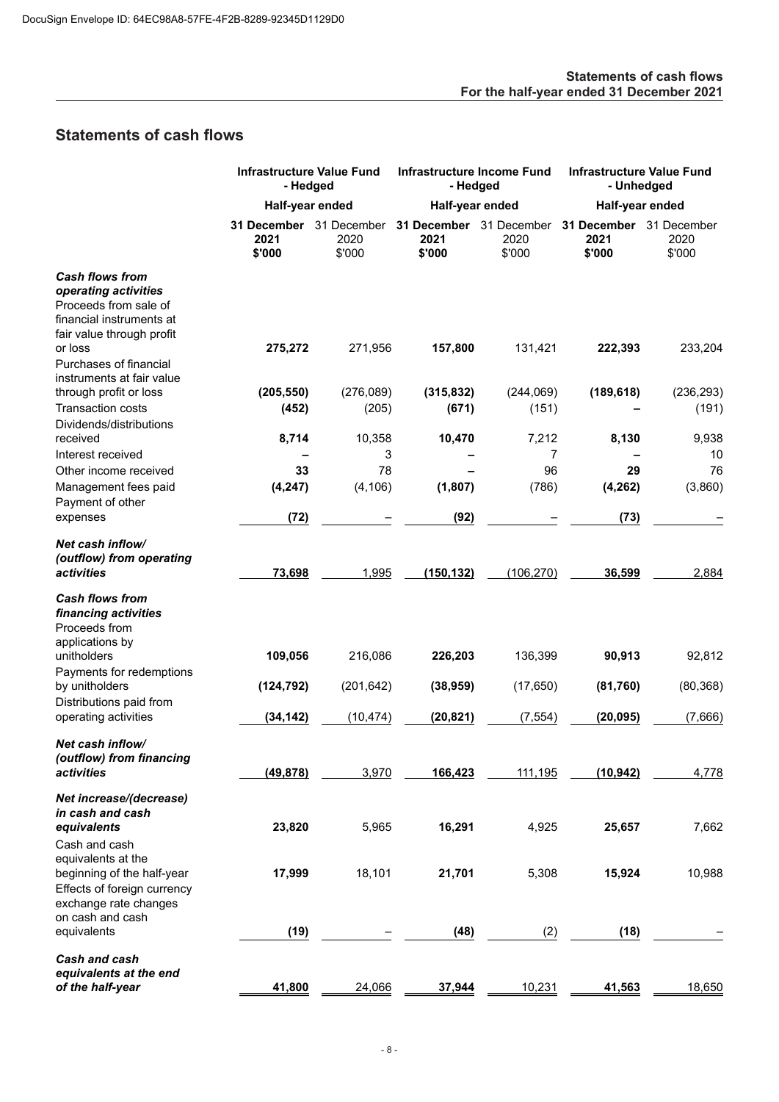# <span id="page-9-0"></span>**Statements of cash flows**

|                                                                                                                                  |                                           | <b>Infrastructure Value Fund</b><br>- Hedged |                               | <b>Infrastructure Income Fund</b><br>- Hedged |                                           | <b>Infrastructure Value Fund</b><br>- Unhedged |  |  |
|----------------------------------------------------------------------------------------------------------------------------------|-------------------------------------------|----------------------------------------------|-------------------------------|-----------------------------------------------|-------------------------------------------|------------------------------------------------|--|--|
|                                                                                                                                  | Half-year ended                           |                                              | Half-year ended               |                                               | Half-year ended                           |                                                |  |  |
|                                                                                                                                  | 31 December 31 December<br>2021<br>\$'000 | 2020<br>\$'000                               | 31 December<br>2021<br>\$'000 | 31 December<br>2020<br>\$'000                 | 31 December 31 December<br>2021<br>\$'000 | 2020<br>\$'000                                 |  |  |
| <b>Cash flows from</b><br>operating activities<br>Proceeds from sale of<br>financial instruments at<br>fair value through profit |                                           |                                              |                               |                                               |                                           |                                                |  |  |
| or loss<br>Purchases of financial<br>instruments at fair value                                                                   | 275,272                                   | 271,956                                      | 157,800                       | 131,421                                       | 222,393                                   | 233,204                                        |  |  |
| through profit or loss                                                                                                           | (205, 550)                                | (276,089)                                    | (315, 832)                    | (244,069)                                     | (189, 618)                                | (236, 293)                                     |  |  |
| <b>Transaction costs</b><br>Dividends/distributions                                                                              | (452)                                     | (205)                                        | (671)                         | (151)                                         |                                           | (191)                                          |  |  |
| received<br>Interest received                                                                                                    | 8,714                                     | 10,358<br>3                                  | 10,470                        | 7,212<br>7                                    | 8,130                                     | 9,938<br>10                                    |  |  |
| Other income received                                                                                                            | 33                                        | 78                                           |                               | 96                                            | 29                                        | 76                                             |  |  |
| Management fees paid<br>Payment of other                                                                                         | (4, 247)                                  | (4, 106)                                     | (1,807)                       | (786)                                         | (4, 262)                                  | (3,860)                                        |  |  |
| expenses                                                                                                                         | (72)                                      |                                              | (92)                          |                                               | (73)                                      |                                                |  |  |
| Net cash inflow/<br>(outflow) from operating<br>activities                                                                       | 73,698                                    | 1,995                                        | (150, 132)                    | (106, 270)                                    | 36,599                                    | 2,884                                          |  |  |
| <b>Cash flows from</b><br>financing activities<br>Proceeds from<br>applications by                                               |                                           |                                              |                               |                                               |                                           |                                                |  |  |
| unitholders<br>Payments for redemptions                                                                                          | 109,056                                   | 216,086                                      | 226,203                       | 136,399                                       | 90,913                                    | 92,812                                         |  |  |
| by unitholders<br>Distributions paid from                                                                                        | (124, 792)                                | (201, 642)                                   | (38, 959)                     | (17, 650)                                     | (81, 760)                                 | (80, 368)                                      |  |  |
| operating activities                                                                                                             | (34, 142)                                 | (10, 474)                                    | (20, 821)                     | (7, 554)                                      | (20, 095)                                 | (7,666)                                        |  |  |
| Net cash inflow/<br>(outflow) from financing<br><i>activities</i>                                                                | (49, 878)                                 | 3,970                                        | 166,423                       | 111,195                                       | (10,942)                                  | 4,778                                          |  |  |
| Net increase/(decrease)<br>in cash and cash                                                                                      |                                           |                                              |                               |                                               |                                           |                                                |  |  |
| equivalents<br>Cash and cash                                                                                                     | 23,820                                    | 5,965                                        | 16,291                        | 4,925                                         | 25,657                                    | 7,662                                          |  |  |
| equivalents at the<br>beginning of the half-year<br>Effects of foreign currency<br>exchange rate changes                         | 17,999                                    | 18,101                                       | 21,701                        | 5,308                                         | 15,924                                    | 10,988                                         |  |  |
| on cash and cash<br>equivalents                                                                                                  | (19)                                      |                                              | (48)                          | (2)                                           | (18)                                      |                                                |  |  |
| Cash and cash<br>equivalents at the end                                                                                          |                                           |                                              |                               |                                               |                                           |                                                |  |  |
| of the half-year                                                                                                                 | 41,800                                    | 24,066                                       | 37,944                        | 10,231                                        | 41,563                                    | 18,650                                         |  |  |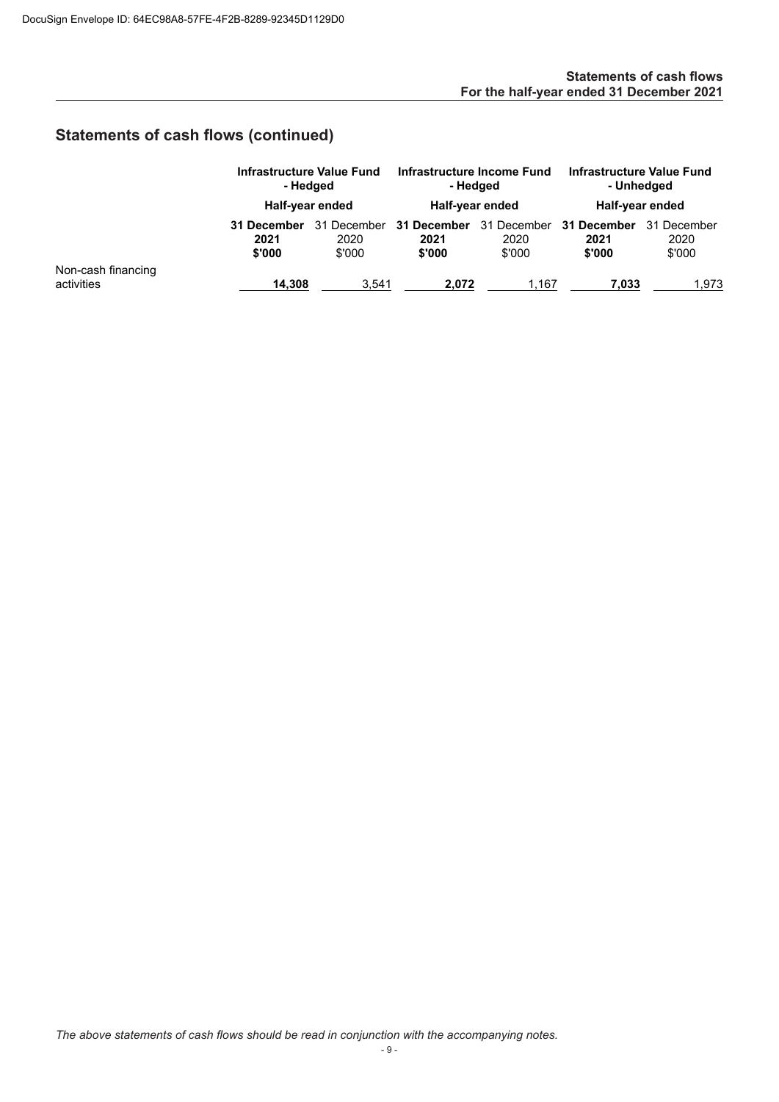# **Statements of cash flows (continued)**

|                                  |                               | Infrastructure Value Fund<br>- Hedged<br>Half-year ended |                               | Infrastructure Income Fund<br>- Hedged<br>Half-year ended |                               | Infrastructure Value Fund<br>- Unhedged<br>Half-year ended |  |
|----------------------------------|-------------------------------|----------------------------------------------------------|-------------------------------|-----------------------------------------------------------|-------------------------------|------------------------------------------------------------|--|
|                                  | 31 December<br>2021<br>\$'000 | 31 December<br>2020<br>\$'000                            | 31 December<br>2021<br>\$'000 | 31 December<br>2020<br>\$'000                             | 31 December<br>2021<br>\$'000 | 31 December<br>2020<br>\$'000                              |  |
| Non-cash financing<br>activities | 14.308                        | 3.541                                                    | 2.072                         | 1.167                                                     | 7.033                         | 1,973                                                      |  |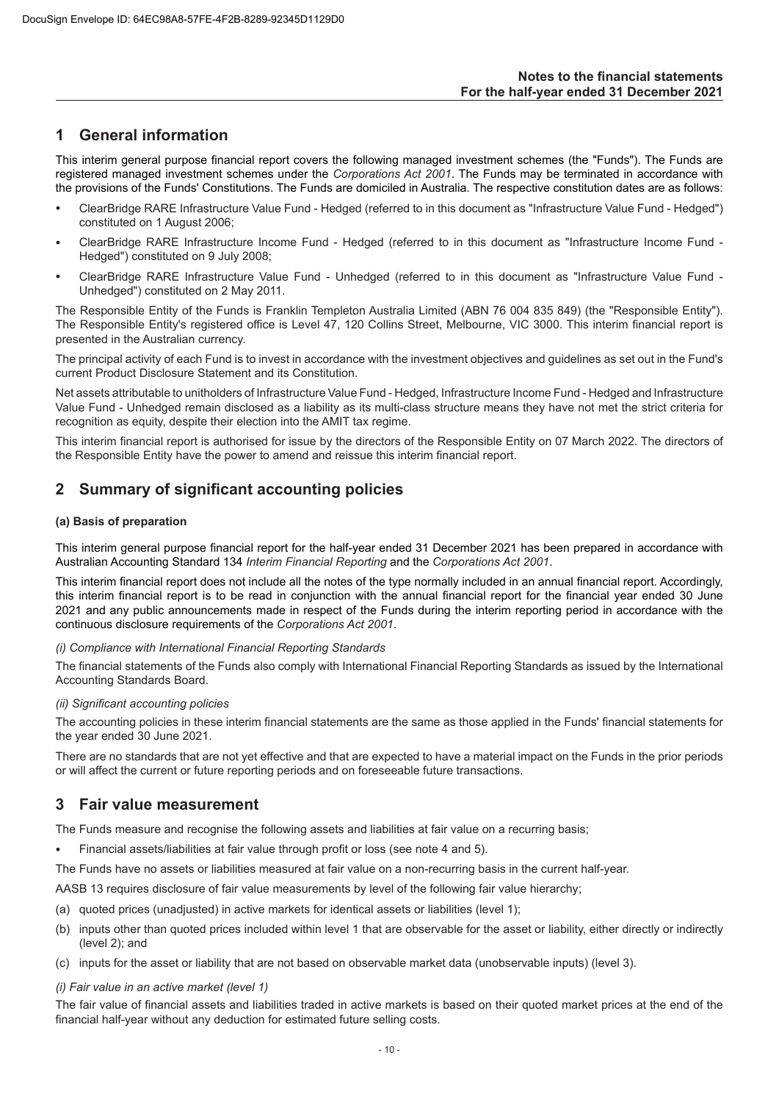## <span id="page-11-0"></span>**1 General information**

This interim general purpose financial report covers the following managed investment schemes (the "Funds"). The Funds are registered managed investment schemes under the *Corporations Act 2001*. The Funds may be terminated in accordance with the provisions of the Funds' Constitutions. The Funds are domiciled in Australia. The respective constitution dates are as follows:

- ClearBridge RARE Infrastructure Value Fund Hedged (referred to in this document as "Infrastructure Value Fund Hedged") constituted on 1 August 2006;
- ClearBridge RARE Infrastructure Income Fund Hedged (referred to in this document as "Infrastructure Income Fund Hedged") constituted on 9 July 2008;
- ClearBridge RARE Infrastructure Value Fund Unhedged (referred to in this document as "Infrastructure Value Fund Unhedged") constituted on 2 May 2011.

The Responsible Entity of the Funds is Franklin Templeton Australia Limited (ABN 76 004 835 849) (the "Responsible Entity"). The Responsible Entity's registered office is Level 47, 120 Collins Street, Melbourne, VIC 3000. This interim financial report is presented in the Australian currency.

The principal activity of each Fund is to invest in accordance with the investment objectives and guidelines as set out in the Fund's current Product Disclosure Statement and its Constitution.

Net assets attributable to unitholders of Infrastructure Value Fund - Hedged, Infrastructure Income Fund - Hedged and Infrastructure Value Fund - Unhedged remain disclosed as a liability as its multi-class structure means they have not met the strict criteria for recognition as equity, despite their election into the AMIT tax regime.

This interim financial report is authorised for issue by the directors of the Responsible Entity on 07 March 2022. The directors of the Responsible Entity have the power to amend and reissue this interim financial report.

## **2 Summary of significant accounting policies**

## **(a) Basis of preparation**

This interim general purpose financial report for the half-year ended 31 December 2021 has been prepared in accordance with Australian Accounting Standard 134 *Interim Financial Reporting* and the *Corporations Act 2001*.

This interim financial report does not include all the notes of the type normally included in an annual financial report. Accordingly, this interim financial report is to be read in conjunction with the annual financial report for the financial year ended 30 June 2021 and any public announcements made in respect of the Funds during the interim reporting period in accordance with the continuous disclosure requirements of the *Corporations Act 2001*.

#### *(i) Compliance with International Financial Reporting Standards*

The financial statements of the Funds also comply with International Financial Reporting Standards as issued by the International Accounting Standards Board.

#### *(ii) Significant accounting policies*

The accounting policies in these interim financial statements are the same as those applied in the Funds' financial statements for the year ended 30 June 2021.

There are no standards that are not yet effective and that are expected to have a material impact on the Funds in the prior periods or will affect the current or future reporting periods and on foreseeable future transactions.

## **3 Fair value measurement**

The Funds measure and recognise the following assets and liabilities at fair value on a recurring basis;

• Financial assets/liabilities at fair value through profit or loss (see note 4 and 5).

The Funds have no assets or liabilities measured at fair value on a non-recurring basis in the current half-year.

AASB 13 requires disclosure of fair value measurements by level of the following fair value hierarchy;

- (a) quoted prices (unadjusted) in active markets for identical assets or liabilities (level 1);
- (b) inputs other than quoted prices included within level 1 that are observable for the asset or liability, either directly or indirectly (level 2); and
- (c) inputs for the asset or liability that are not based on observable market data (unobservable inputs) (level 3).

## *(i) Fair value in an active market (level 1)*

The fair value of financial assets and liabilities traded in active markets is based on their quoted market prices at the end of the financial half-year without any deduction for estimated future selling costs.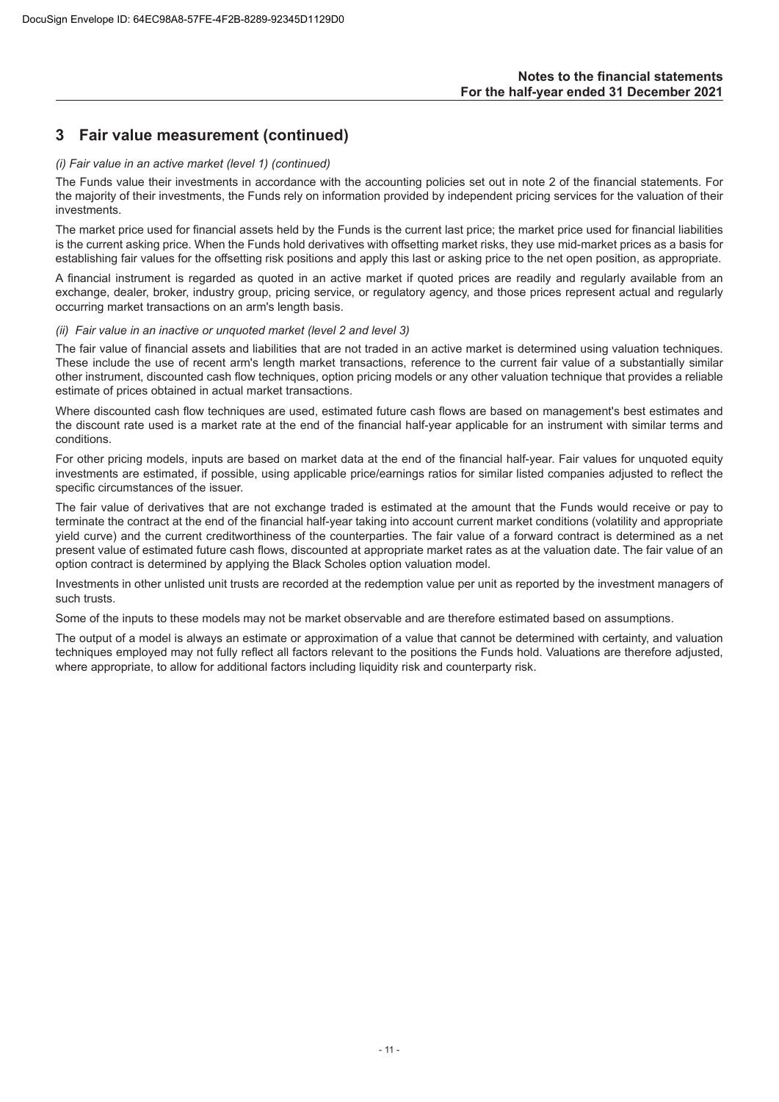## **3 Fair value measurement (continued)**

#### *(i) Fair value in an active market (level 1) (continued)*

The Funds value their investments in accordance with the accounting policies set out in note 2 of the financial statements. For the majority of their investments, the Funds rely on information provided by independent pricing services for the valuation of their investments.

The market price used for financial assets held by the Funds is the current last price; the market price used for financial liabilities is the current asking price. When the Funds hold derivatives with offsetting market risks, they use mid-market prices as a basis for establishing fair values for the offsetting risk positions and apply this last or asking price to the net open position, as appropriate.

A financial instrument is regarded as quoted in an active market if quoted prices are readily and regularly available from an exchange, dealer, broker, industry group, pricing service, or regulatory agency, and those prices represent actual and regularly occurring market transactions on an arm's length basis.

#### *(ii) Fair value in an inactive or unquoted market (level 2 and level 3)*

The fair value of financial assets and liabilities that are not traded in an active market is determined using valuation techniques. These include the use of recent arm's length market transactions, reference to the current fair value of a substantially similar other instrument, discounted cash flow techniques, option pricing models or any other valuation technique that provides a reliable estimate of prices obtained in actual market transactions.

Where discounted cash flow techniques are used, estimated future cash flows are based on management's best estimates and the discount rate used is a market rate at the end of the financial half-year applicable for an instrument with similar terms and conditions.

For other pricing models, inputs are based on market data at the end of the financial half-year. Fair values for unquoted equity investments are estimated, if possible, using applicable price/earnings ratios for similar listed companies adjusted to reflect the specific circumstances of the issuer.

The fair value of derivatives that are not exchange traded is estimated at the amount that the Funds would receive or pay to terminate the contract at the end of the financial half-year taking into account current market conditions (volatility and appropriate yield curve) and the current creditworthiness of the counterparties. The fair value of a forward contract is determined as a net present value of estimated future cash flows, discounted at appropriate market rates as at the valuation date. The fair value of an option contract is determined by applying the Black Scholes option valuation model.

Investments in other unlisted unit trusts are recorded at the redemption value per unit as reported by the investment managers of such trusts.

Some of the inputs to these models may not be market observable and are therefore estimated based on assumptions.

The output of a model is always an estimate or approximation of a value that cannot be determined with certainty, and valuation techniques employed may not fully reflect all factors relevant to the positions the Funds hold. Valuations are therefore adjusted, where appropriate, to allow for additional factors including liquidity risk and counterparty risk.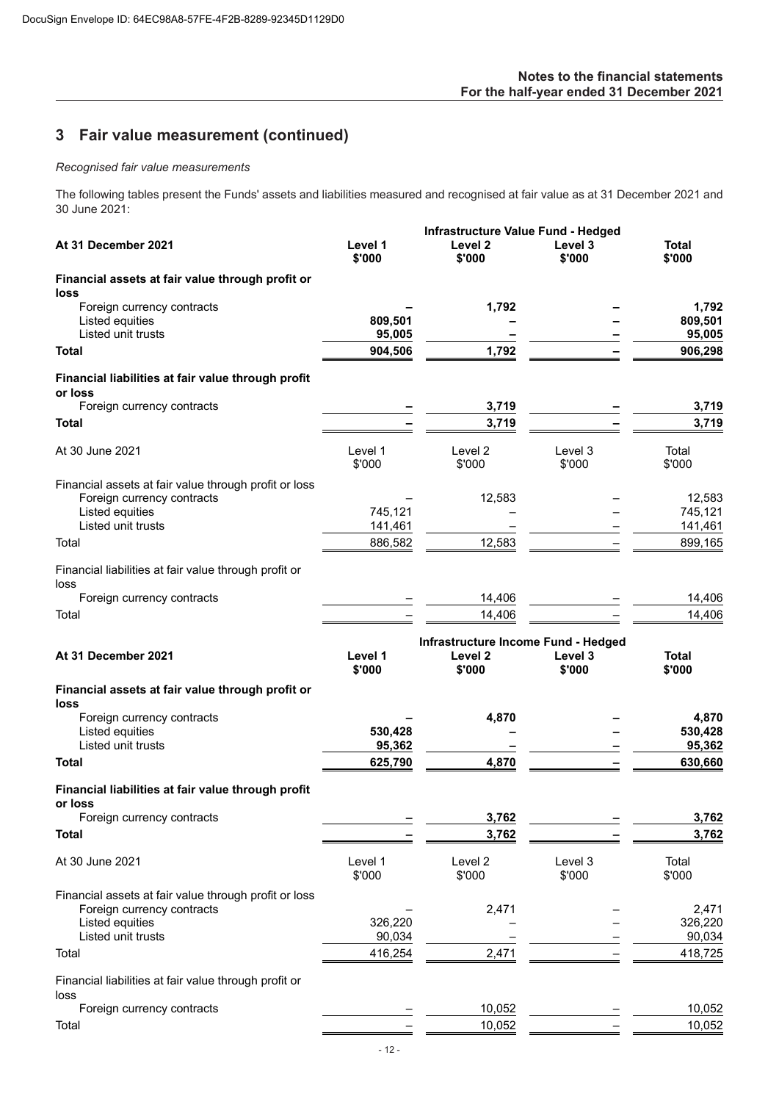# **3 Fair value measurement (continued)**

## *Recognised fair value measurements*

The following tables present the Funds' assets and liabilities measured and recognised at fair value as at 31 December 2021 and 30 June 2021:

|                                                               |                   | <b>Infrastructure Value Fund - Hedged</b> |                   |                 |
|---------------------------------------------------------------|-------------------|-------------------------------------------|-------------------|-----------------|
| At 31 December 2021                                           | Level 1<br>\$'000 | Level 2<br>\$'000                         | Level 3<br>\$'000 | Total<br>\$'000 |
| Financial assets at fair value through profit or<br>loss      |                   |                                           |                   |                 |
| Foreign currency contracts                                    |                   | 1,792                                     |                   | 1.792           |
| Listed equities                                               | 809,501           |                                           |                   | 809,501         |
| Listed unit trusts                                            | 95,005            |                                           |                   | 95,005          |
| Total                                                         | 904,506           | 1,792                                     |                   | 906,298         |
| Financial liabilities at fair value through profit<br>or loss |                   |                                           |                   |                 |
| Foreign currency contracts                                    |                   | 3,719                                     |                   | 3,719           |
| Total                                                         |                   | 3,719                                     |                   | 3,719           |
| At 30 June 2021                                               | Level 1<br>\$'000 | Level 2<br>\$'000                         | Level 3<br>\$'000 | Total<br>\$'000 |
| Financial assets at fair value through profit or loss         |                   |                                           |                   |                 |
| Foreign currency contracts                                    |                   | 12,583                                    |                   | 12,583          |
| Listed equities                                               | 745,121           |                                           |                   | 745,121         |
| Listed unit trusts                                            | 141,461           |                                           |                   | 141,461         |
| Total                                                         | 886,582           | 12,583                                    |                   | 899,165         |
| Financial liabilities at fair value through profit or<br>loss |                   |                                           |                   |                 |
| Foreign currency contracts                                    |                   | 14,406                                    |                   | 14,406          |
| Total                                                         |                   | 14,406                                    |                   | 14,406          |
|                                                               |                   | Infrastructure Income Fund - Hedged       |                   |                 |
| At 31 December 2021                                           | Level 1<br>\$'000 | Level 2<br>\$'000                         | Level 3<br>\$'000 | Total<br>\$'000 |
| Financial assets at fair value through profit or              |                   |                                           |                   |                 |
| loss<br>Foreign currency contracts                            |                   | 4,870                                     |                   | 4,870           |
| Listed equities                                               | 530,428           |                                           |                   | 530,428         |
| Listed unit trusts                                            | 95,362            |                                           |                   | 95,362          |
| Total                                                         | 625,790           | 4,870                                     |                   | 630,660         |
| Financial liabilities at fair value through profit            |                   |                                           |                   |                 |
| or loss                                                       |                   |                                           |                   |                 |
| Foreign currency contracts                                    |                   | 3,762                                     |                   | 3,762           |
| <b>Total</b>                                                  |                   | 3,762                                     |                   | 3,762           |
| At 30 June 2021                                               | Level 1<br>\$'000 | Level 2<br>\$'000                         | Level 3<br>\$'000 | Total<br>\$'000 |
| Financial assets at fair value through profit or loss         |                   |                                           |                   |                 |
| Foreign currency contracts                                    |                   | 2,471                                     |                   | 2,471           |
| Listed equities                                               | 326,220           |                                           |                   | 326,220         |
| Listed unit trusts                                            | 90,034            |                                           |                   | 90,034          |
| Total                                                         | 416,254           | 2,471                                     |                   | 418,725         |
| Financial liabilities at fair value through profit or<br>loss |                   |                                           |                   |                 |
| Foreign currency contracts                                    |                   | 10,052                                    |                   | 10,052          |
| Total                                                         |                   | 10,052                                    |                   | 10,052          |
|                                                               |                   |                                           |                   |                 |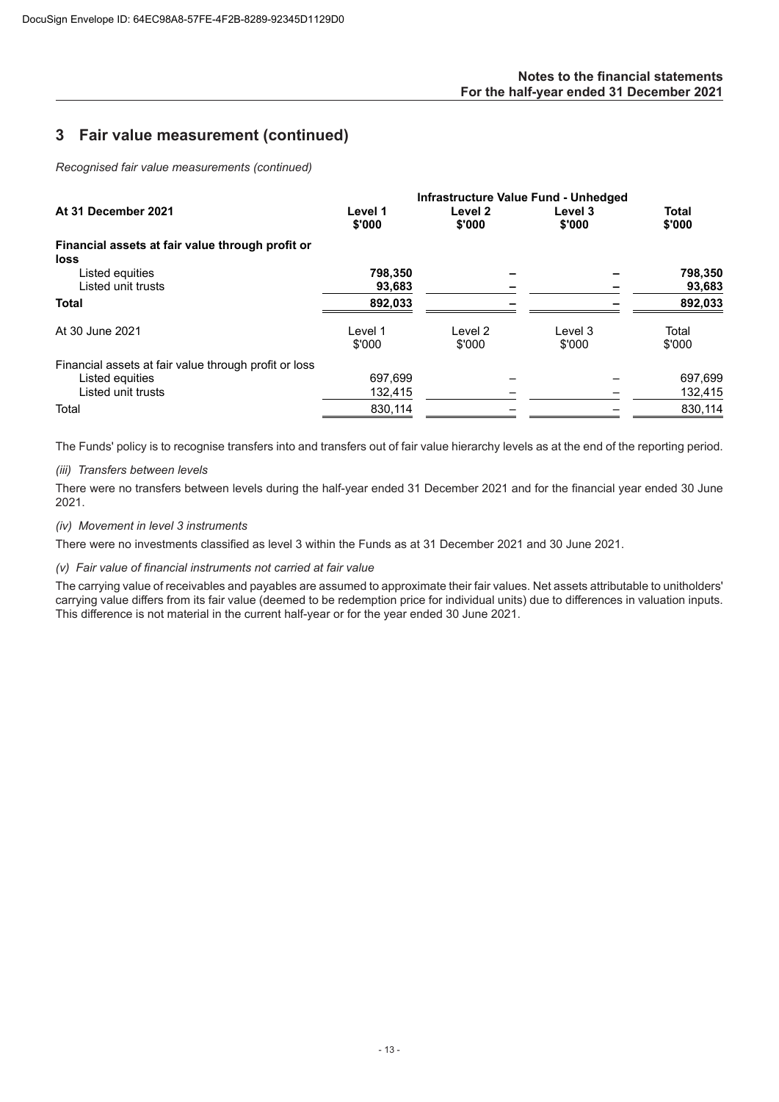## **Notes to the financial statements For the half-year ended 31 December 2021**

## **3 Fair value measurement (continued)**

*Recognised fair value measurements (continued)*

|                                                                                                |                    | Infrastructure Value Fund - Unhedged |                   |                        |
|------------------------------------------------------------------------------------------------|--------------------|--------------------------------------|-------------------|------------------------|
| At 31 December 2021                                                                            | Level 1<br>\$'000  | Level 2<br>\$'000                    | Level 3<br>\$'000 | <b>Total</b><br>\$'000 |
| Financial assets at fair value through profit or<br>loss                                       |                    |                                      |                   |                        |
| Listed equities<br>Listed unit trusts                                                          | 798,350<br>93,683  |                                      |                   | 798,350<br>93,683      |
| <b>Total</b>                                                                                   | 892,033            |                                      |                   | 892,033                |
| At 30 June 2021                                                                                | Level 1<br>\$'000  | Level 2<br>\$'000                    | Level 3<br>\$'000 | Total<br>\$'000        |
| Financial assets at fair value through profit or loss<br>Listed equities<br>Listed unit trusts | 697.699<br>132,415 |                                      |                   | 697,699<br>132,415     |
| Total                                                                                          | 830,114            |                                      |                   | 830,114                |

The Funds' policy is to recognise transfers into and transfers out of fair value hierarchy levels as at the end of the reporting period.

## *(iii) Transfers between levels*

There were no transfers between levels during the half-year ended 31 December 2021 and for the financial year ended 30 June 2021.

## *(iv) Movement in level 3 instruments*

There were no investments classified as level 3 within the Funds as at 31 December 2021 and 30 June 2021.

## *(v) Fair value of financial instruments not carried at fair value*

The carrying value of receivables and payables are assumed to approximate their fair values. Net assets attributable to unitholders' carrying value differs from its fair value (deemed to be redemption price for individual units) due to differences in valuation inputs. This difference is not material in the current half-year or for the year ended 30 June 2021.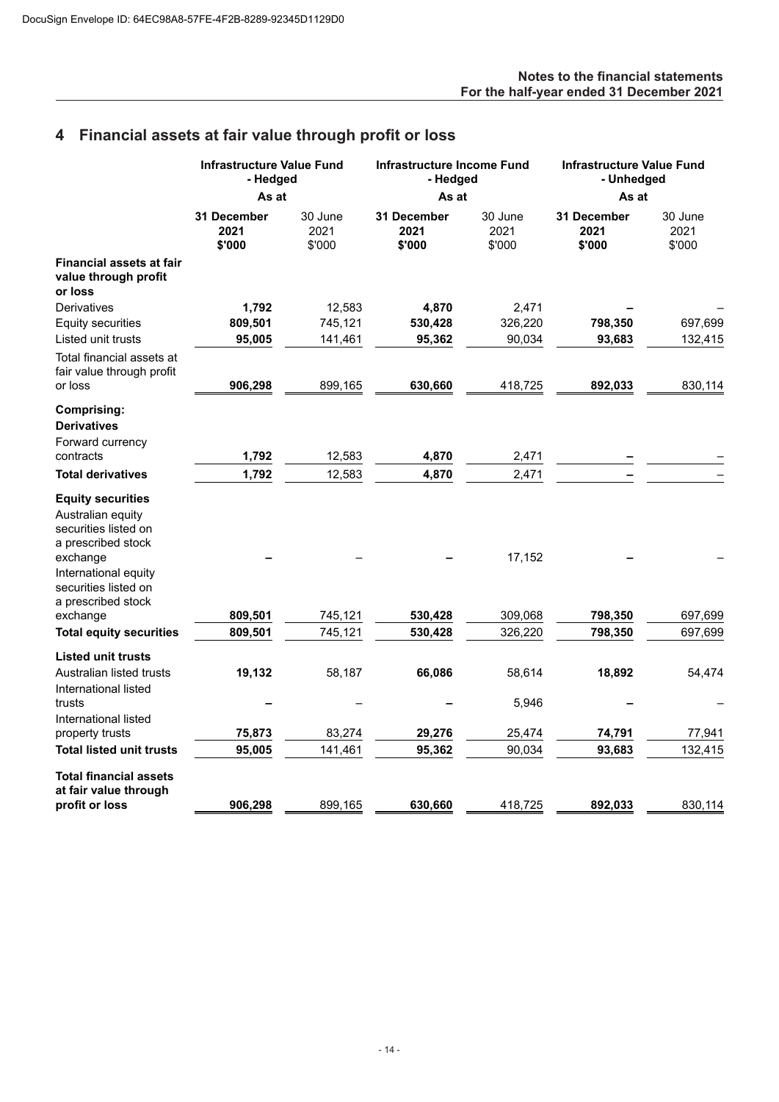## **Notes to the financial statements For the half-year ended 31 December 2021**

# **4 Financial assets at fair value through profit or loss**

|                                                                                             | <b>Infrastructure Value Fund</b><br>- Hedged<br>As at |                           | <b>Infrastructure Income Fund</b><br>- Hedged |                           | <b>Infrastructure Value Fund</b><br>- Unhedged |                           |
|---------------------------------------------------------------------------------------------|-------------------------------------------------------|---------------------------|-----------------------------------------------|---------------------------|------------------------------------------------|---------------------------|
|                                                                                             |                                                       |                           | As at                                         |                           | As at                                          |                           |
|                                                                                             | <b>31 December</b><br>2021<br>\$'000                  | 30 June<br>2021<br>\$'000 | <b>31 December</b><br>2021<br>\$'000          | 30 June<br>2021<br>\$'000 | 31 December<br>2021<br>\$'000                  | 30 June<br>2021<br>\$'000 |
| <b>Financial assets at fair</b><br>value through profit<br>or loss                          |                                                       |                           |                                               |                           |                                                |                           |
| Derivatives                                                                                 | 1,792                                                 | 12,583                    | 4,870                                         | 2,471                     |                                                |                           |
| Equity securities                                                                           | 809,501                                               | 745,121                   | 530,428                                       | 326,220                   | 798,350                                        | 697,699                   |
| Listed unit trusts                                                                          | 95,005                                                | 141,461                   | 95,362                                        | 90,034                    | 93,683                                         | 132,415                   |
| Total financial assets at<br>fair value through profit                                      |                                                       |                           |                                               |                           |                                                |                           |
| or loss                                                                                     | 906,298                                               | 899,165                   | 630,660                                       | 418,725                   | 892,033                                        | 830,114                   |
| <b>Comprising:</b><br><b>Derivatives</b>                                                    |                                                       |                           |                                               |                           |                                                |                           |
| Forward currency                                                                            |                                                       |                           |                                               |                           |                                                |                           |
| contracts                                                                                   | 1,792                                                 | 12,583                    | 4,870                                         | 2,471                     |                                                |                           |
| <b>Total derivatives</b>                                                                    | 1,792                                                 | 12,583                    | 4,870                                         | 2,471                     |                                                |                           |
| <b>Equity securities</b><br>Australian equity<br>securities listed on<br>a prescribed stock |                                                       |                           |                                               |                           |                                                |                           |
| exchange<br>International equity<br>securities listed on                                    |                                                       |                           |                                               | 17,152                    |                                                |                           |
| a prescribed stock<br>exchange                                                              | 809,501                                               | 745,121                   | 530,428                                       | 309,068                   | 798,350                                        | 697,699                   |
| <b>Total equity securities</b>                                                              | 809,501                                               | 745,121                   | 530,428                                       | 326,220                   | 798,350                                        | 697,699                   |
|                                                                                             |                                                       |                           |                                               |                           |                                                |                           |
| <b>Listed unit trusts</b><br>Australian listed trusts                                       | 19,132                                                | 58,187                    | 66,086                                        | 58,614                    | 18,892                                         | 54,474                    |
| International listed<br>trusts                                                              |                                                       |                           |                                               | 5,946                     |                                                |                           |
| International listed<br>property trusts                                                     | 75,873                                                | 83,274                    | 29,276                                        | 25,474                    | 74,791                                         | 77,941                    |
| <b>Total listed unit trusts</b>                                                             | 95,005                                                | 141,461                   | 95,362                                        | 90,034                    | 93,683                                         | 132,415                   |
|                                                                                             |                                                       |                           |                                               |                           |                                                |                           |
| <b>Total financial assets</b><br>at fair value through                                      |                                                       |                           |                                               |                           |                                                |                           |
| profit or loss                                                                              | 906,298                                               | 899,165                   | 630,660                                       | 418,725                   | 892,033                                        | 830,114                   |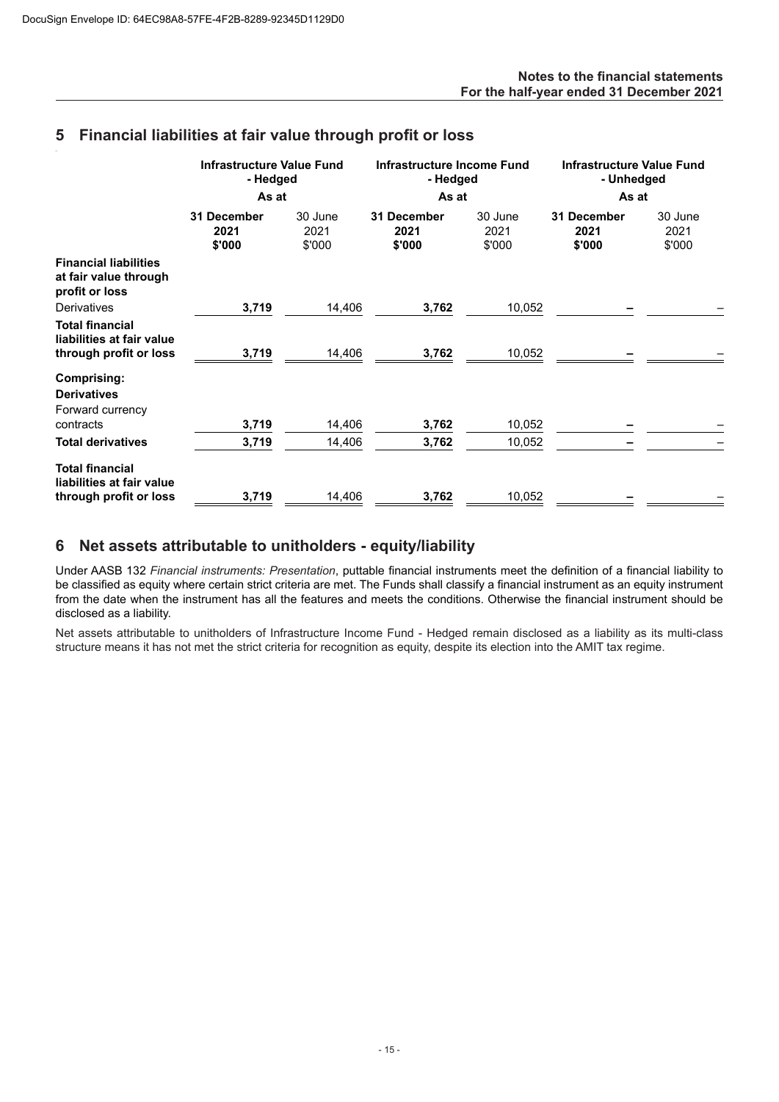## **5 Financial liabilities at fair value through profit or loss**

|                                                                               | Infrastructure Value Fund<br>- Hedged<br>As at |                           | Infrastructure Income Fund<br>- Hedged<br>As at |                           | <b>Infrastructure Value Fund</b><br>- Unhedged<br>As at |                           |
|-------------------------------------------------------------------------------|------------------------------------------------|---------------------------|-------------------------------------------------|---------------------------|---------------------------------------------------------|---------------------------|
|                                                                               | 31 December<br>2021<br>\$'000                  | 30 June<br>2021<br>\$'000 | 31 December<br>2021<br>\$'000                   | 30 June<br>2021<br>\$'000 | 31 December<br>2021<br>\$'000                           | 30 June<br>2021<br>\$'000 |
| <b>Financial liabilities</b><br>at fair value through<br>profit or loss       |                                                |                           |                                                 |                           |                                                         |                           |
| <b>Derivatives</b>                                                            | 3,719                                          | 14,406                    | 3,762                                           | 10,052                    |                                                         |                           |
| <b>Total financial</b><br>liabilities at fair value<br>through profit or loss | 3,719                                          | 14,406                    | 3,762                                           | 10,052                    |                                                         |                           |
| Comprising:<br><b>Derivatives</b><br>Forward currency<br>contracts            | 3,719                                          |                           |                                                 |                           |                                                         |                           |
|                                                                               |                                                | 14,406                    | 3,762                                           | 10,052                    |                                                         |                           |
| <b>Total derivatives</b>                                                      | 3,719                                          | 14,406                    | 3,762                                           | 10,052                    |                                                         |                           |
| <b>Total financial</b><br>liabilities at fair value<br>through profit or loss | 3,719                                          | 14,406                    | 3,762                                           | 10,052                    |                                                         |                           |

## **6 Net assets attributable to unitholders - equity/liability**

Under AASB 132 *Financial instruments: Presentation*, puttable financial instruments meet the definition of a financial liability to be classified as equity where certain strict criteria are met. The Funds shall classify a financial instrument as an equity instrument from the date when the instrument has all the features and meets the conditions. Otherwise the financial instrument should be disclosed as a liability.

Net assets attributable to unitholders of Infrastructure Income Fund - Hedged remain disclosed as a liability as its multi-class structure means it has not met the strict criteria for recognition as equity, despite its election into the AMIT tax regime.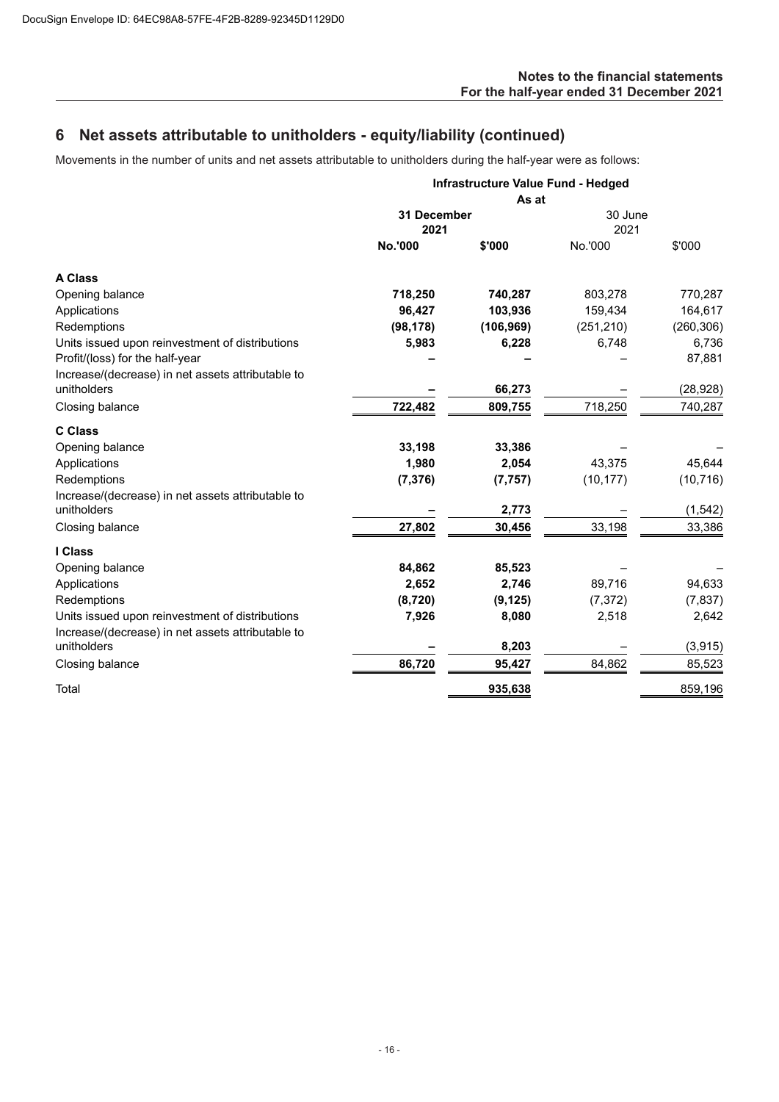# **6 Net assets attributable to unitholders - equity/liability (continued)**

Movements in the number of units and net assets attributable to unitholders during the half-year were as follows:

|                                                                  |                     | Infrastructure Value Fund - Hedged |                 |            |
|------------------------------------------------------------------|---------------------|------------------------------------|-----------------|------------|
|                                                                  |                     |                                    |                 |            |
|                                                                  | 31 December<br>2021 |                                    | 30 June<br>2021 |            |
|                                                                  | <b>No.'000</b>      | \$'000                             | No.'000         | \$'000     |
| <b>A Class</b>                                                   |                     |                                    |                 |            |
| Opening balance                                                  | 718,250             | 740,287                            | 803,278         | 770,287    |
| Applications                                                     | 96,427              | 103,936                            | 159,434         | 164,617    |
| Redemptions                                                      | (98, 178)           | (106, 969)                         | (251, 210)      | (260, 306) |
| Units issued upon reinvestment of distributions                  | 5,983               | 6,228                              | 6,748           | 6,736      |
| Profit/(loss) for the half-year                                  |                     |                                    |                 | 87,881     |
| Increase/(decrease) in net assets attributable to<br>unitholders |                     | 66,273                             |                 | (28, 928)  |
| Closing balance                                                  | 722,482             | 809,755                            | 718,250         | 740,287    |
|                                                                  |                     |                                    |                 |            |
| <b>C Class</b>                                                   |                     |                                    |                 |            |
| Opening balance                                                  | 33,198              | 33,386                             |                 |            |
| Applications                                                     | 1,980               | 2,054                              | 43,375          | 45,644     |
| Redemptions                                                      | (7, 376)            | (7, 757)                           | (10, 177)       | (10, 716)  |
| Increase/(decrease) in net assets attributable to                |                     |                                    |                 |            |
| unitholders                                                      |                     | 2,773                              |                 | (1, 542)   |
| Closing balance                                                  | 27,802              | 30,456                             | 33,198          | 33,386     |
| I Class                                                          |                     |                                    |                 |            |
| Opening balance                                                  | 84,862              | 85,523                             |                 |            |
| Applications                                                     | 2,652               | 2,746                              | 89,716          | 94,633     |
| Redemptions                                                      | (8,720)             | (9, 125)                           | (7, 372)        | (7, 837)   |
| Units issued upon reinvestment of distributions                  | 7,926               | 8,080                              | 2,518           | 2,642      |
| Increase/(decrease) in net assets attributable to                |                     |                                    |                 |            |
| unitholders                                                      |                     | 8,203                              |                 | (3, 915)   |
| Closing balance                                                  | 86,720              | 95,427                             | 84,862          | 85,523     |
| Total                                                            |                     | 935,638                            |                 | 859,196    |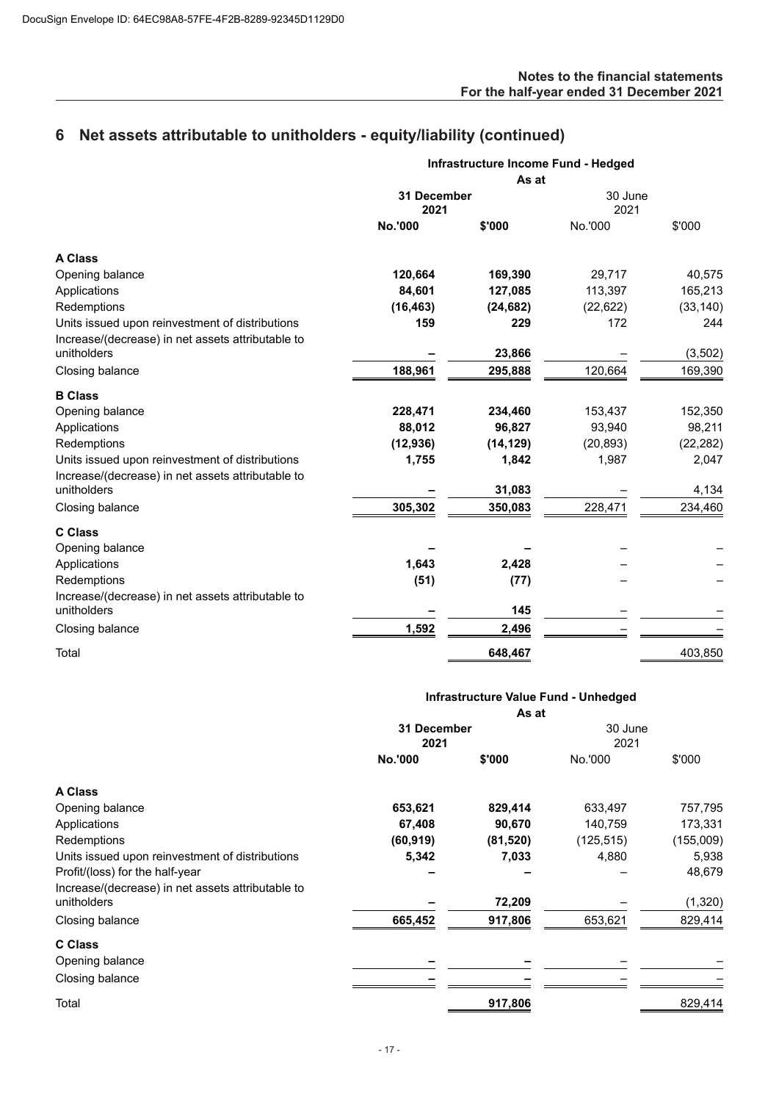# **6 Net assets attributable to unitholders - equity/liability (continued)**

|                                                                                                      | Infrastructure Income Fund - Hedged |           |                 |           |
|------------------------------------------------------------------------------------------------------|-------------------------------------|-----------|-----------------|-----------|
|                                                                                                      |                                     | As at     |                 |           |
|                                                                                                      | 31 December<br>2021                 |           | 30 June<br>2021 |           |
|                                                                                                      | No.'000                             | \$'000    | No.'000         | \$'000    |
| <b>A Class</b>                                                                                       |                                     |           |                 |           |
| Opening balance                                                                                      | 120,664                             | 169,390   | 29,717          | 40,575    |
| Applications                                                                                         | 84,601                              | 127,085   | 113,397         | 165,213   |
| Redemptions                                                                                          | (16, 463)                           | (24, 682) | (22, 622)       | (33, 140) |
| Units issued upon reinvestment of distributions<br>Increase/(decrease) in net assets attributable to | 159                                 | 229       | 172             | 244       |
| unitholders                                                                                          |                                     | 23,866    |                 | (3,502)   |
| Closing balance                                                                                      | 188,961                             | 295,888   | 120,664         | 169,390   |
| <b>B</b> Class                                                                                       |                                     |           |                 |           |
| Opening balance                                                                                      | 228,471                             | 234,460   | 153,437         | 152,350   |
| Applications                                                                                         | 88,012                              | 96,827    | 93,940          | 98,211    |
| Redemptions                                                                                          | (12, 936)                           | (14, 129) | (20, 893)       | (22, 282) |
| Units issued upon reinvestment of distributions<br>Increase/(decrease) in net assets attributable to | 1,755                               | 1,842     | 1,987           | 2,047     |
| unitholders                                                                                          |                                     | 31,083    |                 | 4,134     |
| Closing balance                                                                                      | 305,302                             | 350,083   | 228,471         | 234,460   |
| <b>C Class</b>                                                                                       |                                     |           |                 |           |
| Opening balance                                                                                      |                                     |           |                 |           |
| Applications                                                                                         | 1,643                               | 2,428     |                 |           |
| Redemptions                                                                                          | (51)                                | (77)      |                 |           |
| Increase/(decrease) in net assets attributable to                                                    |                                     |           |                 |           |
| unitholders                                                                                          |                                     | 145       |                 |           |
| Closing balance                                                                                      | 1,592                               | 2,496     |                 |           |
| Total                                                                                                |                                     | 648,467   |                 | 403,850   |

|                                                   | Infrastructure Value Fund - Unhedged<br>As at |           |                 |           |
|---------------------------------------------------|-----------------------------------------------|-----------|-----------------|-----------|
|                                                   |                                               |           |                 |           |
|                                                   | 31 December<br>2021                           |           | 30 June<br>2021 |           |
|                                                   | <b>No.'000</b>                                | \$'000    | No.'000         | \$'000    |
| A Class                                           |                                               |           |                 |           |
| Opening balance                                   | 653,621                                       | 829,414   | 633,497         | 757,795   |
| Applications                                      | 67,408                                        | 90,670    | 140,759         | 173,331   |
| Redemptions                                       | (60, 919)                                     | (81, 520) | (125, 515)      | (155,009) |
| Units issued upon reinvestment of distributions   | 5,342                                         | 7,033     | 4,880           | 5,938     |
| Profit/(loss) for the half-year                   |                                               |           |                 | 48,679    |
| Increase/(decrease) in net assets attributable to |                                               |           |                 |           |
| unitholders                                       |                                               | 72,209    |                 | (1, 320)  |
| Closing balance                                   | 665,452                                       | 917,806   | 653,621         | 829,414   |
| <b>C</b> Class                                    |                                               |           |                 |           |
| Opening balance                                   |                                               |           |                 |           |
| Closing balance                                   |                                               |           |                 |           |
| Total                                             |                                               | 917,806   |                 | 829,414   |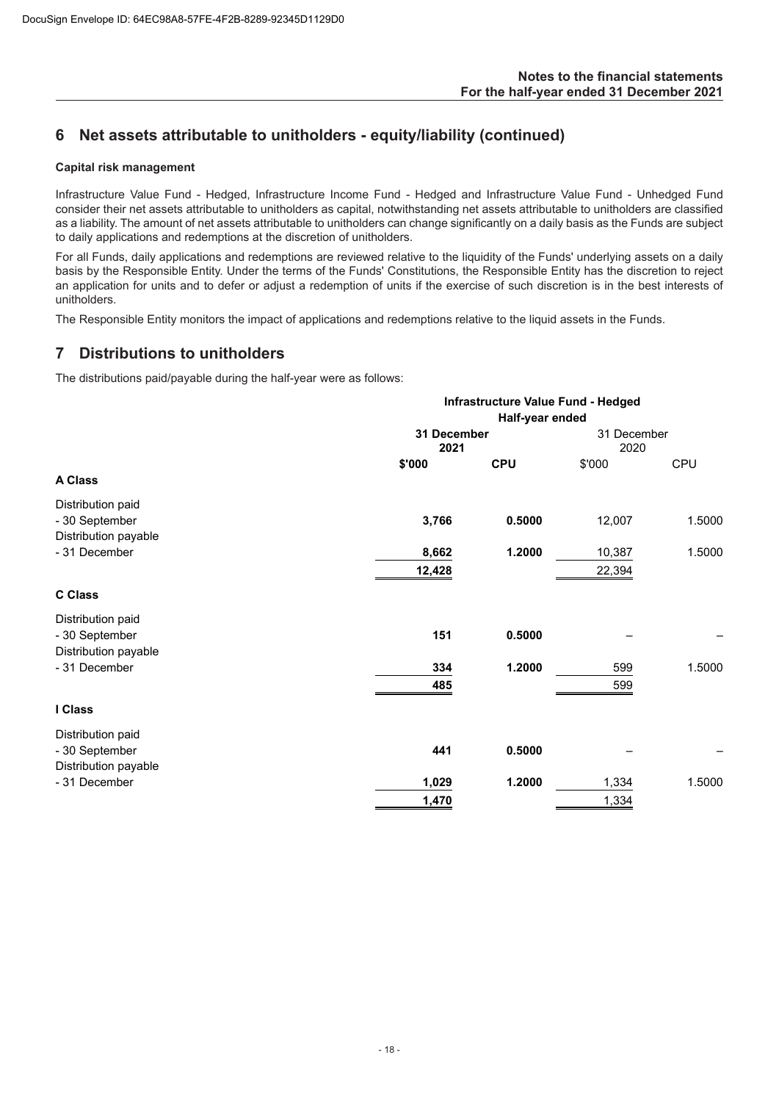# **6 Net assets attributable to unitholders - equity/liability (continued)**

## **Capital risk management**

Infrastructure Value Fund - Hedged, Infrastructure Income Fund - Hedged and Infrastructure Value Fund - Unhedged Fund consider their net assets attributable to unitholders as capital, notwithstanding net assets attributable to unitholders are classified as a liability. The amount of net assets attributable to unitholders can change significantly on a daily basis as the Funds are subject to daily applications and redemptions at the discretion of unitholders.

For all Funds, daily applications and redemptions are reviewed relative to the liquidity of the Funds' underlying assets on a daily basis by the Responsible Entity. Under the terms of the Funds' Constitutions, the Responsible Entity has the discretion to reject an application for units and to defer or adjust a redemption of units if the exercise of such discretion is in the best interests of unitholders.

The Responsible Entity monitors the impact of applications and redemptions relative to the liquid assets in the Funds.

## **7 Distributions to unitholders**

The distributions paid/payable during the half-year were as follows:

|                                                             | Infrastructure Value Fund - Hedged<br>Half-year ended |            |                     |        |
|-------------------------------------------------------------|-------------------------------------------------------|------------|---------------------|--------|
|                                                             | 31 December<br>2021                                   |            | 31 December<br>2020 |        |
| A Class                                                     | \$'000                                                | <b>CPU</b> | \$'000              | CPU    |
| Distribution paid<br>- 30 September<br>Distribution payable | 3,766                                                 | 0.5000     | 12,007              | 1.5000 |
| - 31 December                                               | 8,662<br>12,428                                       | 1.2000     | 10,387<br>22,394    | 1.5000 |
| <b>C Class</b>                                              |                                                       |            |                     |        |
| Distribution paid<br>- 30 September<br>Distribution payable | 151                                                   | 0.5000     |                     |        |
| - 31 December                                               | 334<br>485                                            | 1.2000     | 599<br>599          | 1.5000 |
| I Class                                                     |                                                       |            |                     |        |
| Distribution paid<br>- 30 September<br>Distribution payable | 441                                                   | 0.5000     |                     |        |
| - 31 December                                               | 1,029                                                 | 1.2000     | 1,334               | 1.5000 |
|                                                             | 1,470                                                 |            | 1,334               |        |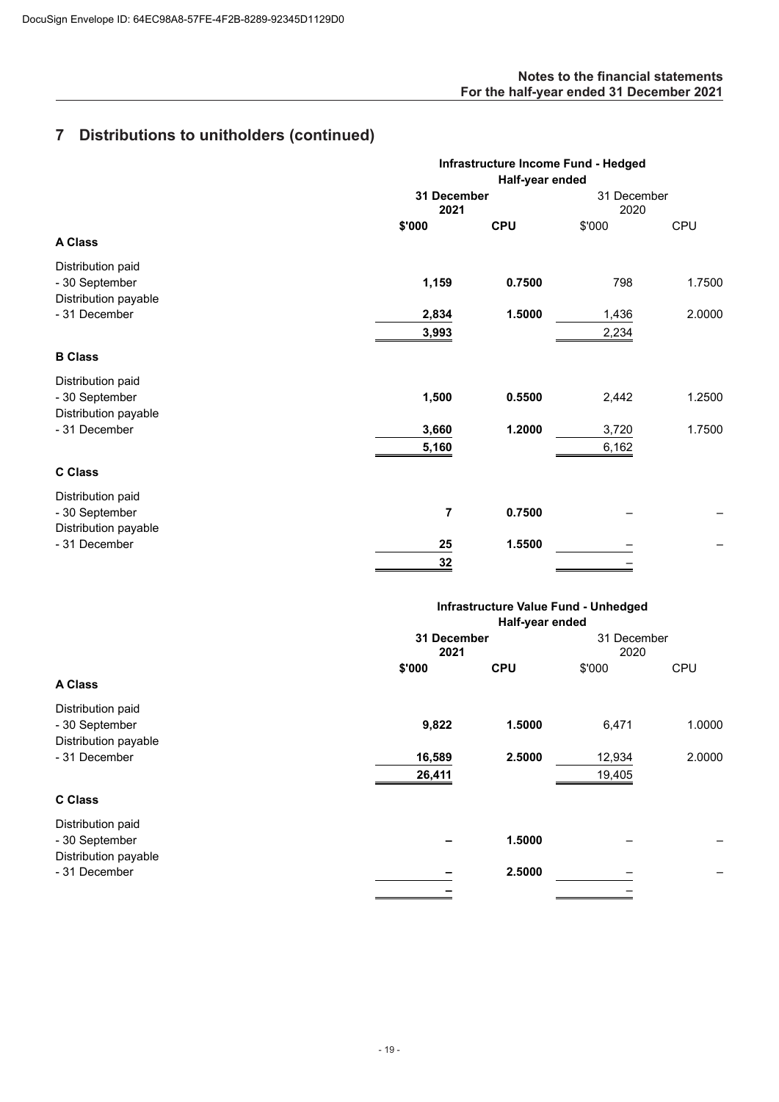## **Notes to the financial statements For the half-year ended 31 December 2021**

# **7 Distributions to unitholders (continued)**

|                      | Infrastructure Income Fund - Hedged<br>Half-year ended |            |                     |        |
|----------------------|--------------------------------------------------------|------------|---------------------|--------|
|                      |                                                        |            |                     |        |
|                      | 31 December<br>2021                                    |            | 31 December<br>2020 |        |
|                      | \$'000                                                 | <b>CPU</b> | \$'000              | CPU    |
| <b>A Class</b>       |                                                        |            |                     |        |
| Distribution paid    |                                                        |            |                     |        |
| - 30 September       | 1,159                                                  | 0.7500     | 798                 | 1.7500 |
| Distribution payable |                                                        |            |                     |        |
| - 31 December        | 2,834                                                  | 1.5000     | 1,436               | 2.0000 |
|                      | 3,993                                                  |            | 2,234               |        |
| <b>B Class</b>       |                                                        |            |                     |        |
| Distribution paid    |                                                        |            |                     |        |
| - 30 September       | 1,500                                                  | 0.5500     | 2,442               | 1.2500 |
| Distribution payable |                                                        |            |                     |        |
| - 31 December        | 3,660                                                  | 1.2000     | 3,720               | 1.7500 |
|                      | 5,160                                                  |            | 6,162               |        |
| <b>C Class</b>       |                                                        |            |                     |        |
| Distribution paid    |                                                        |            |                     |        |
| - 30 September       | 7                                                      | 0.7500     |                     |        |
| Distribution payable |                                                        |            |                     |        |
| - 31 December        | 25                                                     | 1.5500     |                     |        |
|                      | 32                                                     |            |                     |        |
|                      |                                                        |            |                     |        |

| Infrastructure Value Fund - Unhedged<br>Half-year ended |            |        |            |
|---------------------------------------------------------|------------|--------|------------|
|                                                         |            |        |            |
| \$'000                                                  | <b>CPU</b> | \$'000 | <b>CPU</b> |
| 9,822                                                   | 1.5000     | 6,471  | 1.0000     |
| 16,589                                                  | 2.5000     | 12,934 | 2.0000     |
| 26,411                                                  |            | 19,405 |            |
|                                                         |            |        |            |
|                                                         | 1.5000     |        |            |
|                                                         | 2.5000     |        |            |
|                                                         |            |        |            |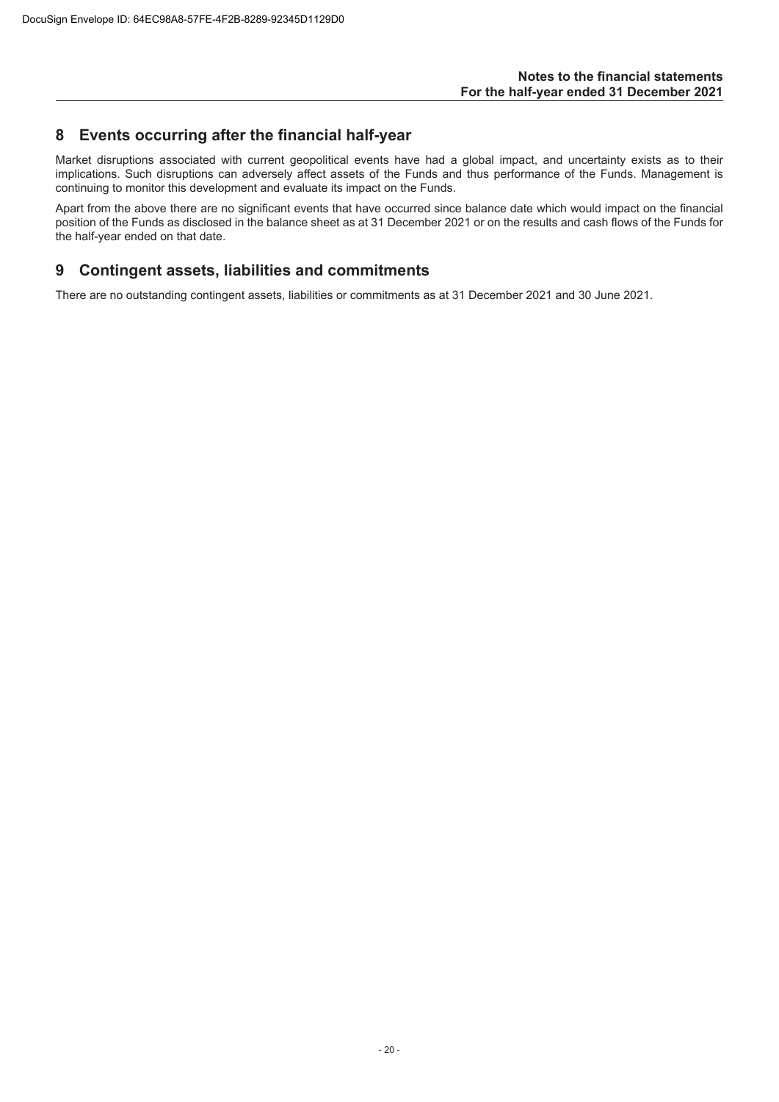## **8 Events occurring after the financial half-year**

Market disruptions associated with current geopolitical events have had a global impact, and uncertainty exists as to their implications. Such disruptions can adversely affect assets of the Funds and thus performance of the Funds. Management is continuing to monitor this development and evaluate its impact on the Funds.

Apart from the above there are no significant events that have occurred since balance date which would impact on the financial position of the Funds as disclosed in the balance sheet as at 31 December 2021 or on the results and cash flows of the Funds for the half-year ended on that date.

## **9 Contingent assets, liabilities and commitments**

There are no outstanding contingent assets, liabilities or commitments as at 31 December 2021 and 30 June 2021.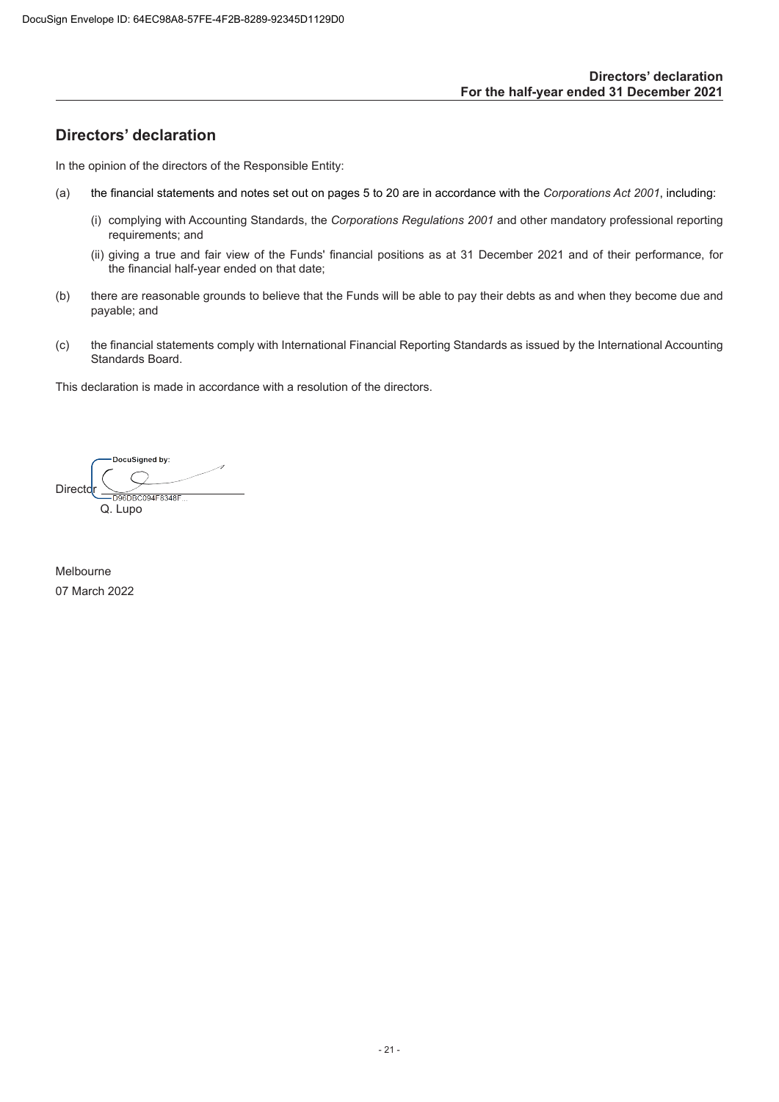# <span id="page-22-0"></span>**Directors' declaration**

In the opinion of the directors of the Responsible Entity:

- (a) the financial statements and notes set out on pages 5 to 20 are in accordance with the *Corporations Act 2001*, including:
	- (i) complying with Accounting Standards, the *Corporations Regulations 2001* and other mandatory professional reporting requirements; and
	- (ii) giving a true and fair view of the Funds' financial positions as at 31 December 2021 and of their performance, for the financial half-year ended on that date;
- (b) there are reasonable grounds to believe that the Funds will be able to pay their debts as and when they become due and payable; and
- (c) the financial statements comply with International Financial Reporting Standards as issued by the International Accounting Standards Board.

This declaration is made in accordance with a resolution of the directors.

DocuSigned by: Directo  $\overline{DB}$ CO94F8348F Q. Lupo

Melbourne 07 March 2022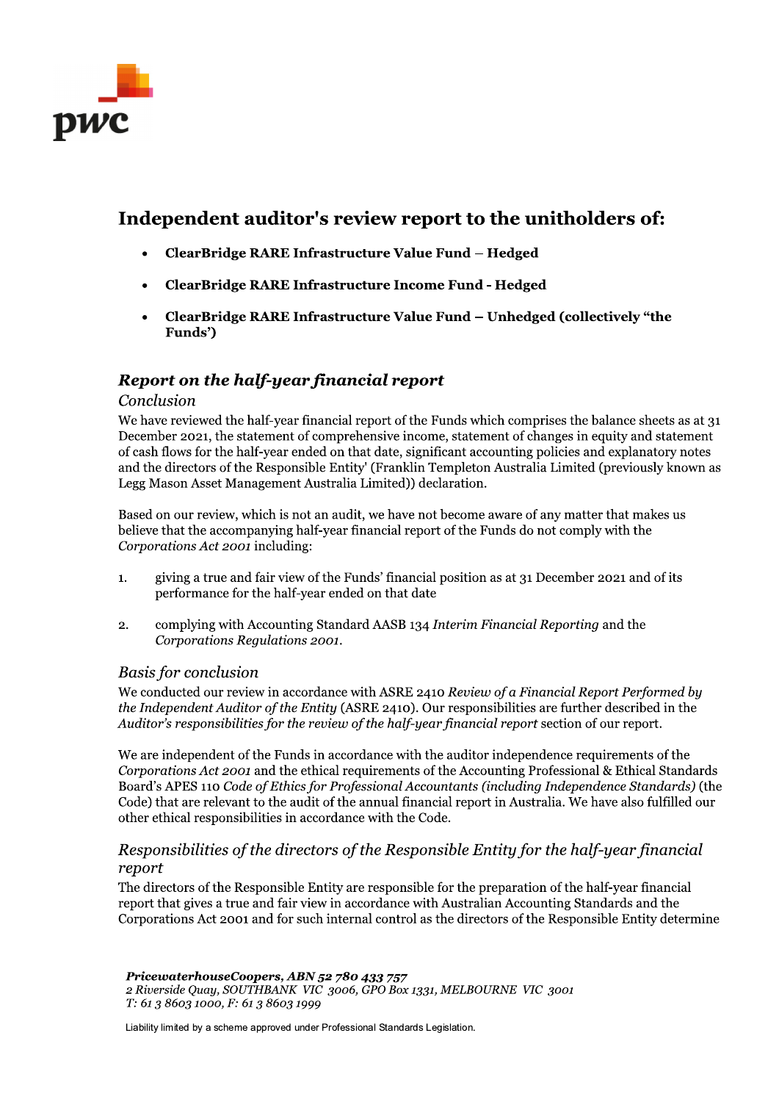

# Independent auditor's review report to the unitholders of:

- $ClearBridge$  RARE Infrastructure Value Fund Hedged
- ClearBridge RARE Infrastructure Income Fund Hedged
- $ClearBridge RARE In frastructure Value Fund Unhedged (collectively "the"$ Funds')

# Report on the half-year financial report

## Conclusion

We have reviewed the half-year financial report of the Funds which comprises the balance sheets as at 31 December 2021, the statement of comprehensive income, statement of changes in equity and statement of cash flows for the half-year ended on that date, significant accounting policies and explanatory notes and the directors of the Responsible Entity' (Franklin Templeton Australia Limited (previously known as Legg Mason Asset Management Australia Limited)) declaration.

Based on our review, which is not an audit, we have not become aware of any matter that makes us believe that the accompanying half-year financial report of the Funds do not comply with the Corporations Act 2001 including:

- 1. giving a true and fair view of the Funds' financial position as at 31 December 2021 and of its performance for the half-year ended on that date
- 2. complying with Accounting Standard AASB 134 Interim Financial Reporting and the Corporations Regulations 2001.

## Basis for conclusion

We conducted our review in accordance with ASRE 2410 Review of a Financial Report Performed by the Independent Auditor of the Entity (ASRE 2410). Our responsibilities are further described in the Auditor's responsibilities for the review of the half-year financial report section of our report.

We are independent of the Funds in accordance with the auditor independence requirements of the Corporations Act 2001 and the ethical requirements of the Accounting Professional & Ethical Standards Board's APES 110 Code of Ethics for Professional Accountants (including Independence Standards) (the Code) that are relevant to the audit of the annual financial report in Australia. We have also fulfilled our other ethical responsibilities in accordance with the Code.

## Responsibilities of the directors of the Responsible Entity for the half-year financial report

The directors of the Responsible Entity are responsible for the preparation of the report that gives a true and fair view in accordance with Australian Accounting St Corporations Act 2001 and for such internal control as The directors of the Responsible Entity are responsible for the preparation of the half-year financial report that gives a true and fair view in accordance with Australian Accounting Standards and the Corporations Act 2001 and for such internal control as the directors of the Responsible Entity determine

 $\mathbb{R}^2$ PricewaterhouseCoopers, ABN 52 780 433 757 Find directors of the Responsible Entricement (report that gives a true and fair view in<br>Corporations Act 2001 and for such in<br>FricewaterhouseCoopers, ABN 52;<br>2 Riverside Quay, SOUTHBANK VIC 30<br>T: 61 3 8603 1000, F: 61 3 8

Liability limited by a scheme approved under Professional Standards Legislation.